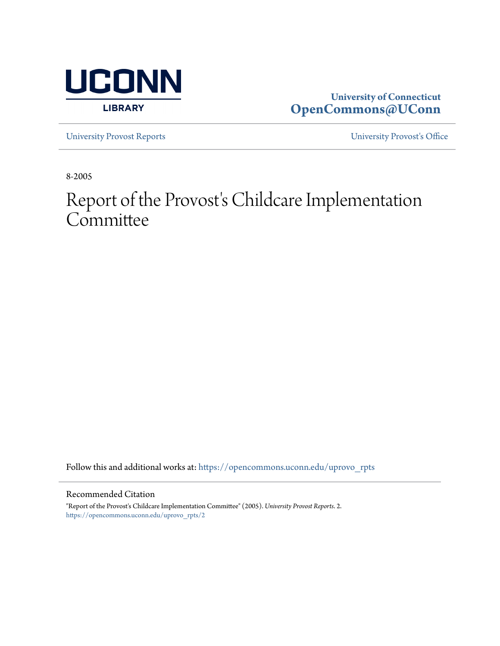

# **University of Connecticut [OpenCommons@UConn](https://opencommons.uconn.edu?utm_source=opencommons.uconn.edu%2Fuprovo_rpts%2F2&utm_medium=PDF&utm_campaign=PDFCoverPages)**

[University Provost Reports](https://opencommons.uconn.edu/uprovo_rpts?utm_source=opencommons.uconn.edu%2Fuprovo_rpts%2F2&utm_medium=PDF&utm_campaign=PDFCoverPages) [University Provost's Office](https://opencommons.uconn.edu/uprovo?utm_source=opencommons.uconn.edu%2Fuprovo_rpts%2F2&utm_medium=PDF&utm_campaign=PDFCoverPages)

8-2005

# Report of the Provost's Childcare Implementation **Committee**

Follow this and additional works at: [https://opencommons.uconn.edu/uprovo\\_rpts](https://opencommons.uconn.edu/uprovo_rpts?utm_source=opencommons.uconn.edu%2Fuprovo_rpts%2F2&utm_medium=PDF&utm_campaign=PDFCoverPages)

#### Recommended Citation

"Report of the Provost's Childcare Implementation Committee" (2005). *University Provost Reports*. 2. [https://opencommons.uconn.edu/uprovo\\_rpts/2](https://opencommons.uconn.edu/uprovo_rpts/2?utm_source=opencommons.uconn.edu%2Fuprovo_rpts%2F2&utm_medium=PDF&utm_campaign=PDFCoverPages)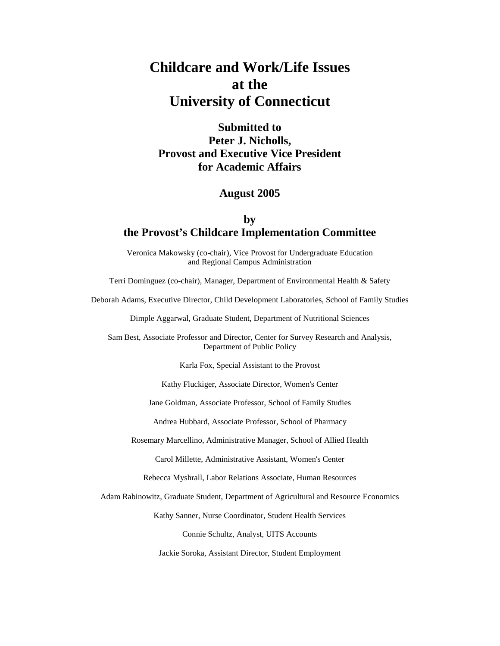# **Childcare and Work/Life Issues at the University of Connecticut**

# **Submitted to Peter J. Nicholls, Provost and Executive Vice President for Academic Affairs**

### **August 2005**

# **by the Provost's Childcare Implementation Committee**

Veronica Makowsky (co-chair), Vice Provost for Undergraduate Education and Regional Campus Administration

Terri Dominguez (co-chair), Manager, Department of Environmental Health & Safety

Deborah Adams, Executive Director, Child Development Laboratories, School of Family Studies

Dimple Aggarwal, Graduate Student, Department of Nutritional Sciences

Sam Best, Associate Professor and Director, Center for Survey Research and Analysis, Department of Public Policy

Karla Fox, Special Assistant to the Provost

Kathy Fluckiger, Associate Director, Women's Center

Jane Goldman, Associate Professor, School of Family Studies

Andrea Hubbard, Associate Professor, School of Pharmacy

Rosemary Marcellino, Administrative Manager, School of Allied Health

Carol Millette, Administrative Assistant, Women's Center

Rebecca Myshrall, Labor Relations Associate, Human Resources

Adam Rabinowitz, Graduate Student, Department of Agricultural and Resource Economics

Kathy Sanner, Nurse Coordinator, Student Health Services

Connie Schultz, Analyst, UITS Accounts

Jackie Soroka, Assistant Director, Student Employment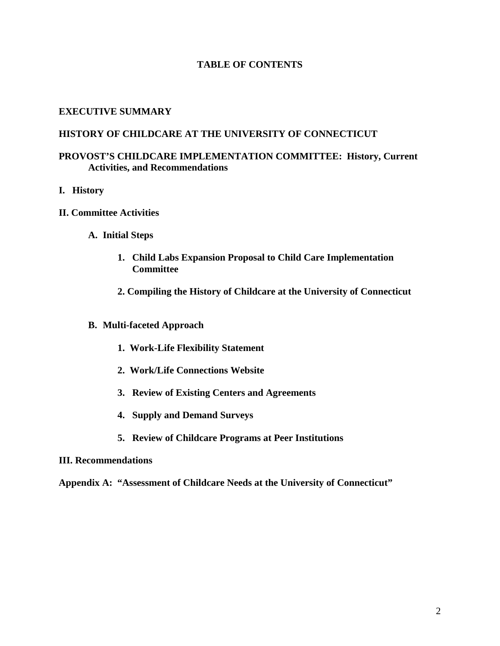## **TABLE OF CONTENTS**

### **EXECUTIVE SUMMARY**

### **HISTORY OF CHILDCARE AT THE UNIVERSITY OF CONNECTICUT**

## **PROVOST'S CHILDCARE IMPLEMENTATION COMMITTEE: History, Current Activities, and Recommendations**

- **I. History**
- **II. Committee Activities** 
	- **A. Initial Steps** 
		- **1. Child Labs Expansion Proposal to Child Care Implementation Committee**
		- **2. Compiling the History of Childcare at the University of Connecticut**
	- **B. Multi-faceted Approach** 
		- **1. Work-Life Flexibility Statement**
		- **2. Work/Life Connections Website**
		- **3. Review of Existing Centers and Agreements**
		- **4. Supply and Demand Surveys**
		- **5. Review of Childcare Programs at Peer Institutions**

#### **III. Recommendations**

**Appendix A: "Assessment of Childcare Needs at the University of Connecticut"**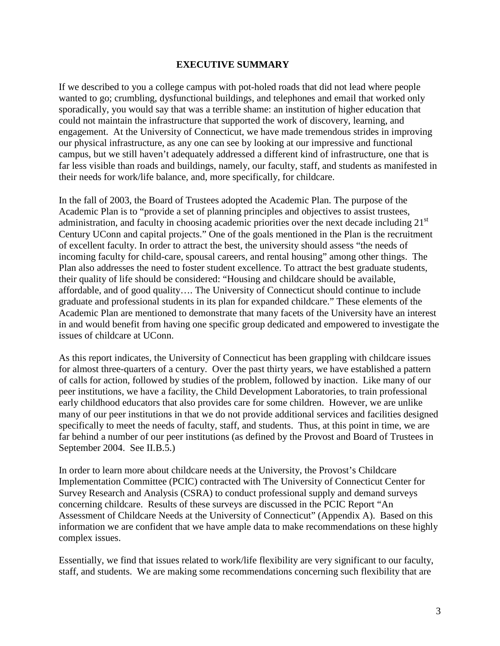#### **EXECUTIVE SUMMARY**

If we described to you a college campus with pot-holed roads that did not lead where people wanted to go; crumbling, dysfunctional buildings, and telephones and email that worked only sporadically, you would say that was a terrible shame: an institution of higher education that could not maintain the infrastructure that supported the work of discovery, learning, and engagement. At the University of Connecticut, we have made tremendous strides in improving our physical infrastructure, as any one can see by looking at our impressive and functional campus, but we still haven't adequately addressed a different kind of infrastructure, one that is far less visible than roads and buildings, namely, our faculty, staff, and students as manifested in their needs for work/life balance, and, more specifically, for childcare.

In the fall of 2003, the Board of Trustees adopted the Academic Plan. The purpose of the Academic Plan is to "provide a set of planning principles and objectives to assist trustees, administration, and faculty in choosing academic priorities over the next decade including 21<sup>st</sup> Century UConn and capital projects." One of the goals mentioned in the Plan is the recruitment of excellent faculty. In order to attract the best, the university should assess "the needs of incoming faculty for child-care, spousal careers, and rental housing" among other things. The Plan also addresses the need to foster student excellence. To attract the best graduate students, their quality of life should be considered: "Housing and childcare should be available, affordable, and of good quality…. The University of Connecticut should continue to include graduate and professional students in its plan for expanded childcare." These elements of the Academic Plan are mentioned to demonstrate that many facets of the University have an interest in and would benefit from having one specific group dedicated and empowered to investigate the issues of childcare at UConn.

As this report indicates, the University of Connecticut has been grappling with childcare issues for almost three-quarters of a century. Over the past thirty years, we have established a pattern of calls for action, followed by studies of the problem, followed by inaction. Like many of our peer institutions, we have a facility, the Child Development Laboratories, to train professional early childhood educators that also provides care for some children. However, we are unlike many of our peer institutions in that we do not provide additional services and facilities designed specifically to meet the needs of faculty, staff, and students. Thus, at this point in time, we are far behind a number of our peer institutions (as defined by the Provost and Board of Trustees in September 2004. See II.B.5.)

In order to learn more about childcare needs at the University, the Provost's Childcare Implementation Committee (PCIC) contracted with The University of Connecticut Center for Survey Research and Analysis (CSRA) to conduct professional supply and demand surveys concerning childcare. Results of these surveys are discussed in the PCIC Report "An Assessment of Childcare Needs at the University of Connecticut" (Appendix A). Based on this information we are confident that we have ample data to make recommendations on these highly complex issues.

Essentially, we find that issues related to work/life flexibility are very significant to our faculty, staff, and students. We are making some recommendations concerning such flexibility that are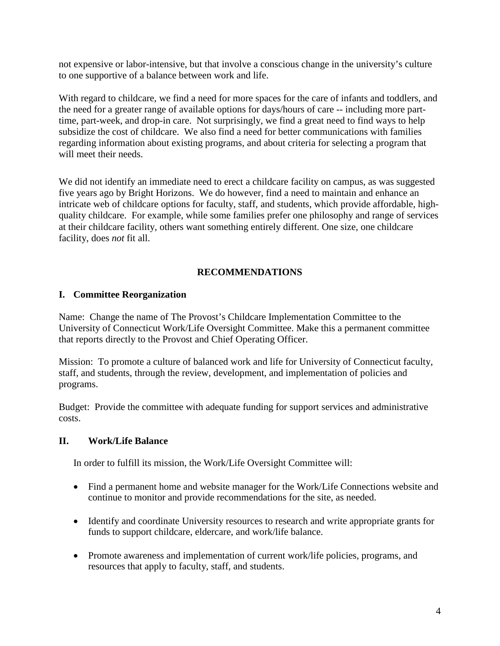not expensive or labor-intensive, but that involve a conscious change in the university's culture to one supportive of a balance between work and life.

With regard to childcare, we find a need for more spaces for the care of infants and toddlers, and the need for a greater range of available options for days/hours of care -- including more parttime, part-week, and drop-in care. Not surprisingly, we find a great need to find ways to help subsidize the cost of childcare. We also find a need for better communications with families regarding information about existing programs, and about criteria for selecting a program that will meet their needs.

We did not identify an immediate need to erect a childcare facility on campus, as was suggested five years ago by Bright Horizons. We do however, find a need to maintain and enhance an intricate web of childcare options for faculty, staff, and students, which provide affordable, highquality childcare. For example, while some families prefer one philosophy and range of services at their childcare facility, others want something entirely different. One size, one childcare facility, does *not* fit all.

# **RECOMMENDATIONS**

## **I. Committee Reorganization**

Name: Change the name of The Provost's Childcare Implementation Committee to the University of Connecticut Work/Life Oversight Committee. Make this a permanent committee that reports directly to the Provost and Chief Operating Officer.

Mission: To promote a culture of balanced work and life for University of Connecticut faculty, staff, and students, through the review, development, and implementation of policies and programs.

Budget: Provide the committee with adequate funding for support services and administrative costs.

#### **II. Work/Life Balance**

In order to fulfill its mission, the Work/Life Oversight Committee will:

- Find a permanent home and website manager for the Work/Life Connections website and continue to monitor and provide recommendations for the site, as needed.
- Identify and coordinate University resources to research and write appropriate grants for funds to support childcare, eldercare, and work/life balance.
- Promote awareness and implementation of current work/life policies, programs, and resources that apply to faculty, staff, and students.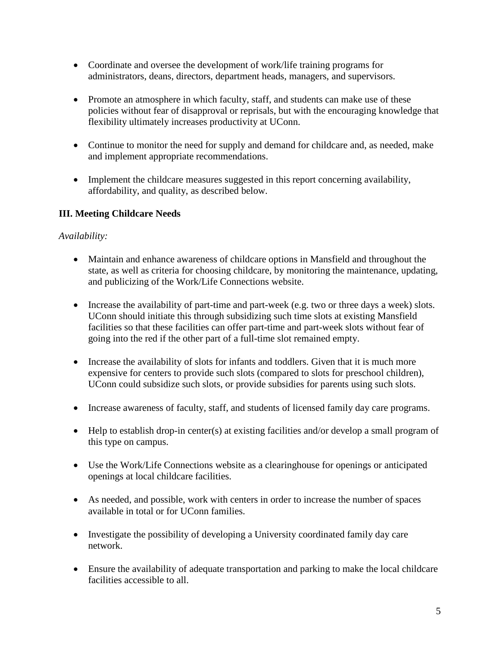- Coordinate and oversee the development of work/life training programs for administrators, deans, directors, department heads, managers, and supervisors.
- Promote an atmosphere in which faculty, staff, and students can make use of these policies without fear of disapproval or reprisals, but with the encouraging knowledge that flexibility ultimately increases productivity at UConn.
- Continue to monitor the need for supply and demand for childcare and, as needed, make and implement appropriate recommendations.
- Implement the childcare measures suggested in this report concerning availability, affordability, and quality, as described below.

# **III. Meeting Childcare Needs**

# *Availability:*

- Maintain and enhance awareness of childcare options in Mansfield and throughout the state, as well as criteria for choosing childcare, by monitoring the maintenance, updating, and publicizing of the Work/Life Connections website.
- Increase the availability of part-time and part-week (e.g. two or three days a week) slots. UConn should initiate this through subsidizing such time slots at existing Mansfield facilities so that these facilities can offer part-time and part-week slots without fear of going into the red if the other part of a full-time slot remained empty.
- Increase the availability of slots for infants and toddlers. Given that it is much more expensive for centers to provide such slots (compared to slots for preschool children), UConn could subsidize such slots, or provide subsidies for parents using such slots.
- Increase awareness of faculty, staff, and students of licensed family day care programs.
- Help to establish drop-in center(s) at existing facilities and/or develop a small program of this type on campus.
- Use the Work/Life Connections website as a clearinghouse for openings or anticipated openings at local childcare facilities.
- As needed, and possible, work with centers in order to increase the number of spaces available in total or for UConn families.
- Investigate the possibility of developing a University coordinated family day care network.
- Ensure the availability of adequate transportation and parking to make the local childcare facilities accessible to all.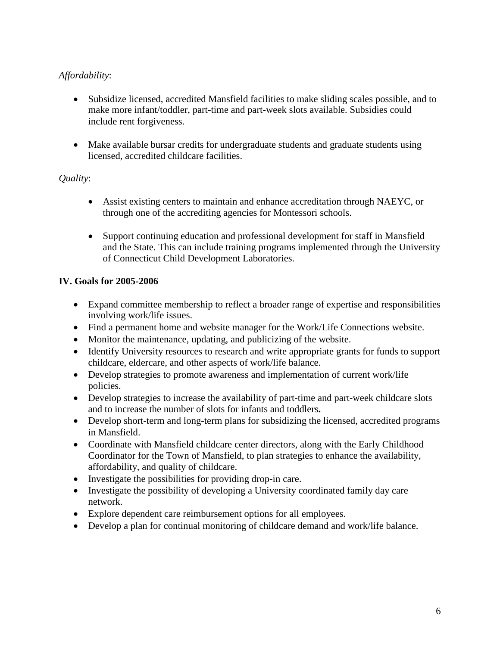# *Affordability*:

- Subsidize licensed, accredited Mansfield facilities to make sliding scales possible, and to make more infant/toddler, part-time and part-week slots available. Subsidies could include rent forgiveness.
- Make available bursar credits for undergraduate students and graduate students using licensed, accredited childcare facilities.

# *Quality*:

- Assist existing centers to maintain and enhance accreditation through NAEYC, or through one of the accrediting agencies for Montessori schools.
- Support continuing education and professional development for staff in Mansfield and the State. This can include training programs implemented through the University of Connecticut Child Development Laboratories.

# **IV. Goals for 2005-2006**

- Expand committee membership to reflect a broader range of expertise and responsibilities involving work/life issues.
- Find a permanent home and website manager for the Work/Life Connections website.
- Monitor the maintenance, updating, and publicizing of the website.
- Identify University resources to research and write appropriate grants for funds to support childcare, eldercare, and other aspects of work/life balance.
- Develop strategies to promote awareness and implementation of current work/life policies.
- Develop strategies to increase the availability of part-time and part-week childcare slots and to increase the number of slots for infants and toddlers**.**
- Develop short-term and long-term plans for subsidizing the licensed, accredited programs in Mansfield.
- Coordinate with Mansfield childcare center directors, along with the Early Childhood Coordinator for the Town of Mansfield, to plan strategies to enhance the availability, affordability, and quality of childcare.
- Investigate the possibilities for providing drop-in care.
- Investigate the possibility of developing a University coordinated family day care network.
- Explore dependent care reimbursement options for all employees.
- Develop a plan for continual monitoring of childcare demand and work/life balance.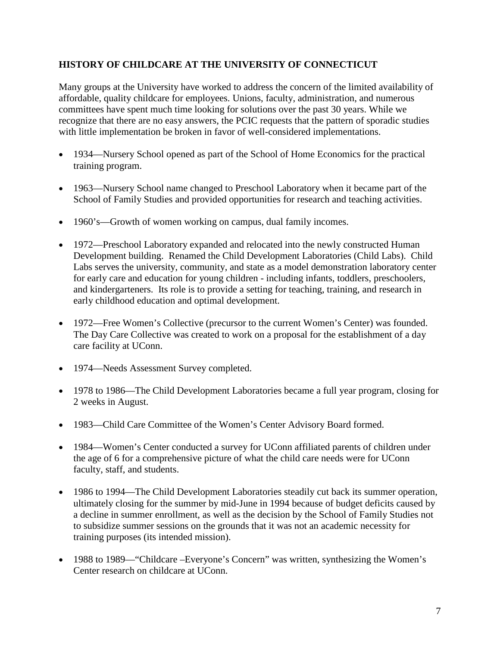# **HISTORY OF CHILDCARE AT THE UNIVERSITY OF CONNECTICUT**

Many groups at the University have worked to address the concern of the limited availability of affordable, quality childcare for employees. Unions, faculty, administration, and numerous committees have spent much time looking for solutions over the past 30 years. While we recognize that there are no easy answers, the PCIC requests that the pattern of sporadic studies with little implementation be broken in favor of well-considered implementations.

- 1934—Nursery School opened as part of the School of Home Economics for the practical training program.
- 1963—Nursery School name changed to Preschool Laboratory when it became part of the School of Family Studies and provided opportunities for research and teaching activities.
- 1960's—Growth of women working on campus, dual family incomes.
- 1972—Preschool Laboratory expanded and relocated into the newly constructed Human Development building. Renamed the Child Development Laboratories (Child Labs). Child Labs serves the university, community, and state as a model demonstration laboratory center for early care and education for young children - including infants, toddlers, preschoolers, and kindergarteners. Its role is to provide a setting for teaching, training, and research in early childhood education and optimal development.
- 1972—Free Women's Collective (precursor to the current Women's Center) was founded. The Day Care Collective was created to work on a proposal for the establishment of a day care facility at UConn.
- 1974—Needs Assessment Survey completed.
- 1978 to 1986—The Child Development Laboratories became a full year program, closing for 2 weeks in August.
- 1983—Child Care Committee of the Women's Center Advisory Board formed.
- 1984—Women's Center conducted a survey for UConn affiliated parents of children under the age of 6 for a comprehensive picture of what the child care needs were for UConn faculty, staff, and students.
- 1986 to 1994—The Child Development Laboratories steadily cut back its summer operation, ultimately closing for the summer by mid-June in 1994 because of budget deficits caused by a decline in summer enrollment, as well as the decision by the School of Family Studies not to subsidize summer sessions on the grounds that it was not an academic necessity for training purposes (its intended mission).
- 1988 to 1989— "Childcare –Everyone's Concern" was written, synthesizing the Women's Center research on childcare at UConn.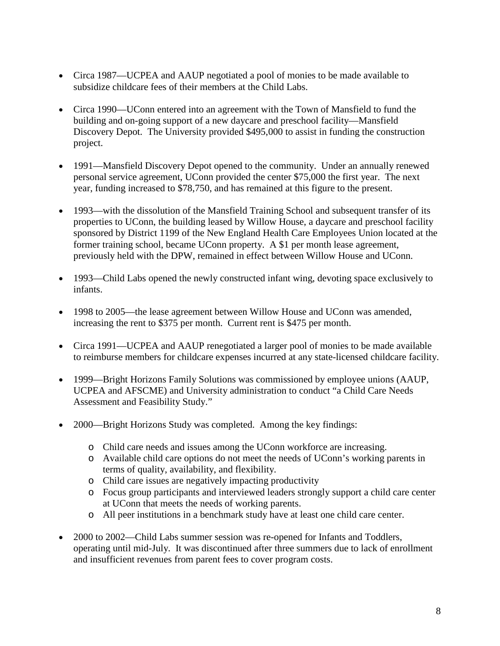- Circa 1987—UCPEA and AAUP negotiated a pool of monies to be made available to subsidize childcare fees of their members at the Child Labs.
- Circa 1990—UConn entered into an agreement with the Town of Mansfield to fund the building and on-going support of a new daycare and preschool facility—Mansfield Discovery Depot. The University provided \$495,000 to assist in funding the construction project.
- 1991—Mansfield Discovery Depot opened to the community. Under an annually renewed personal service agreement, UConn provided the center \$75,000 the first year. The next year, funding increased to \$78,750, and has remained at this figure to the present.
- 1993—with the dissolution of the Mansfield Training School and subsequent transfer of its properties to UConn, the building leased by Willow House, a daycare and preschool facility sponsored by District 1199 of the New England Health Care Employees Union located at the former training school, became UConn property. A \$1 per month lease agreement, previously held with the DPW, remained in effect between Willow House and UConn.
- 1993—Child Labs opened the newly constructed infant wing, devoting space exclusively to infants.
- 1998 to 2005—the lease agreement between Willow House and UConn was amended, increasing the rent to \$375 per month. Current rent is \$475 per month.
- Circa 1991—UCPEA and AAUP renegotiated a larger pool of monies to be made available to reimburse members for childcare expenses incurred at any state-licensed childcare facility.
- 1999—Bright Horizons Family Solutions was commissioned by employee unions (AAUP, UCPEA and AFSCME) and University administration to conduct "a Child Care Needs Assessment and Feasibility Study."
- 2000—Bright Horizons Study was completed. Among the key findings:
	- o Child care needs and issues among the UConn workforce are increasing.
	- o Available child care options do not meet the needs of UConn's working parents in terms of quality, availability, and flexibility.
	- o Child care issues are negatively impacting productivity
	- o Focus group participants and interviewed leaders strongly support a child care center at UConn that meets the needs of working parents.
	- o All peer institutions in a benchmark study have at least one child care center.
- 2000 to 2002—Child Labs summer session was re-opened for Infants and Toddlers, operating until mid-July. It was discontinued after three summers due to lack of enrollment and insufficient revenues from parent fees to cover program costs.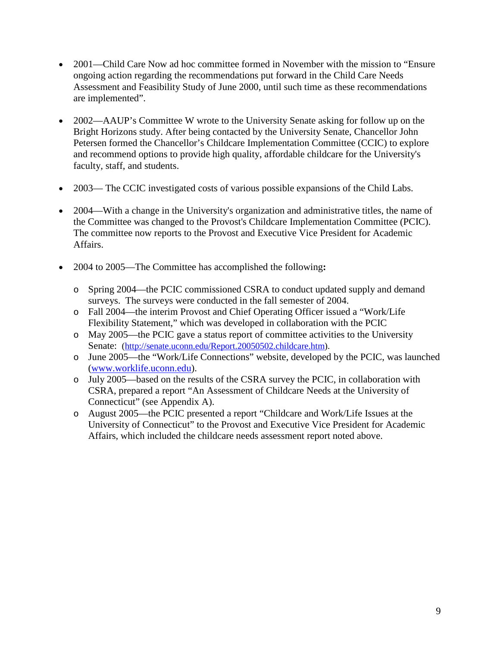- 2001—Child Care Now ad hoc committee formed in November with the mission to "Ensure" ongoing action regarding the recommendations put forward in the Child Care Needs Assessment and Feasibility Study of June 2000, until such time as these recommendations are implemented".
- 2002—AAUP's Committee W wrote to the University Senate asking for follow up on the Bright Horizons study. After being contacted by the University Senate, Chancellor John Petersen formed the Chancellor's Childcare Implementation Committee (CCIC) to explore and recommend options to provide high quality, affordable childcare for the University's faculty, staff, and students.
- 2003— The CCIC investigated costs of various possible expansions of the Child Labs.
- 2004—With a change in the University's organization and administrative titles, the name of the Committee was changed to the Provost's Childcare Implementation Committee (PCIC). The committee now reports to the Provost and Executive Vice President for Academic Affairs.
- 2004 to 2005—The Committee has accomplished the following**:** 
	- o Spring 2004—the PCIC commissioned CSRA to conduct updated supply and demand surveys. The surveys were conducted in the fall semester of 2004.
	- o Fall 2004—the interim Provost and Chief Operating Officer issued a "Work/Life Flexibility Statement," which was developed in collaboration with the PCIC
	- o May 2005—the PCIC gave a status report of committee activities to the University Senate: (http://senate.uconn.edu/Report.20050502.childcare.htm).
	- o June 2005—the "Work/Life Connections" website, developed by the PCIC, was launched (www.worklife.uconn.edu).
	- o July 2005—based on the results of the CSRA survey the PCIC, in collaboration with CSRA, prepared a report "An Assessment of Childcare Needs at the University of Connecticut" (see Appendix A).
	- o August 2005—the PCIC presented a report "Childcare and Work/Life Issues at the University of Connecticut" to the Provost and Executive Vice President for Academic Affairs, which included the childcare needs assessment report noted above.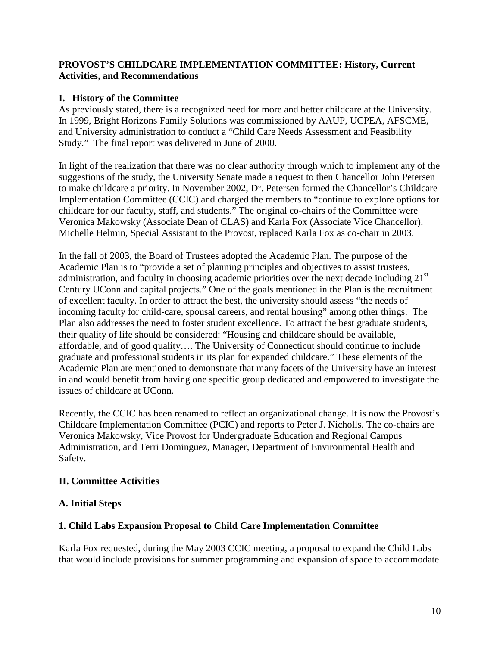## **PROVOST'S CHILDCARE IMPLEMENTATION COMMITTEE: History, Current Activities, and Recommendations**

# **I. History of the Committee**

As previously stated, there is a recognized need for more and better childcare at the University. In 1999, Bright Horizons Family Solutions was commissioned by AAUP, UCPEA, AFSCME, and University administration to conduct a "Child Care Needs Assessment and Feasibility Study." The final report was delivered in June of 2000.

In light of the realization that there was no clear authority through which to implement any of the suggestions of the study, the University Senate made a request to then Chancellor John Petersen to make childcare a priority. In November 2002, Dr. Petersen formed the Chancellor's Childcare Implementation Committee (CCIC) and charged the members to "continue to explore options for childcare for our faculty, staff, and students." The original co-chairs of the Committee were Veronica Makowsky (Associate Dean of CLAS) and Karla Fox (Associate Vice Chancellor). Michelle Helmin, Special Assistant to the Provost, replaced Karla Fox as co-chair in 2003.

In the fall of 2003, the Board of Trustees adopted the Academic Plan. The purpose of the Academic Plan is to "provide a set of planning principles and objectives to assist trustees, administration, and faculty in choosing academic priorities over the next decade including 21<sup>st</sup> Century UConn and capital projects." One of the goals mentioned in the Plan is the recruitment of excellent faculty. In order to attract the best, the university should assess "the needs of incoming faculty for child-care, spousal careers, and rental housing" among other things. The Plan also addresses the need to foster student excellence. To attract the best graduate students, their quality of life should be considered: "Housing and childcare should be available, affordable, and of good quality…. The University of Connecticut should continue to include graduate and professional students in its plan for expanded childcare." These elements of the Academic Plan are mentioned to demonstrate that many facets of the University have an interest in and would benefit from having one specific group dedicated and empowered to investigate the issues of childcare at UConn.

Recently, the CCIC has been renamed to reflect an organizational change. It is now the Provost's Childcare Implementation Committee (PCIC) and reports to Peter J. Nicholls. The co-chairs are Veronica Makowsky, Vice Provost for Undergraduate Education and Regional Campus Administration, and Terri Dominguez, Manager, Department of Environmental Health and Safety.

# **II. Committee Activities**

# **A. Initial Steps**

# **1. Child Labs Expansion Proposal to Child Care Implementation Committee**

Karla Fox requested, during the May 2003 CCIC meeting, a proposal to expand the Child Labs that would include provisions for summer programming and expansion of space to accommodate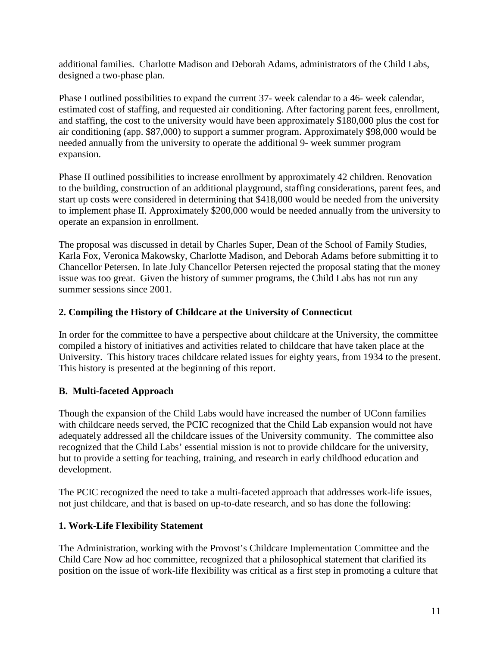additional families. Charlotte Madison and Deborah Adams, administrators of the Child Labs, designed a two-phase plan.

Phase I outlined possibilities to expand the current 37- week calendar to a 46- week calendar, estimated cost of staffing, and requested air conditioning. After factoring parent fees, enrollment, and staffing, the cost to the university would have been approximately \$180,000 plus the cost for air conditioning (app. \$87,000) to support a summer program. Approximately \$98,000 would be needed annually from the university to operate the additional 9- week summer program expansion.

Phase II outlined possibilities to increase enrollment by approximately 42 children. Renovation to the building, construction of an additional playground, staffing considerations, parent fees, and start up costs were considered in determining that \$418,000 would be needed from the university to implement phase II. Approximately \$200,000 would be needed annually from the university to operate an expansion in enrollment.

The proposal was discussed in detail by Charles Super, Dean of the School of Family Studies, Karla Fox, Veronica Makowsky, Charlotte Madison, and Deborah Adams before submitting it to Chancellor Petersen. In late July Chancellor Petersen rejected the proposal stating that the money issue was too great. Given the history of summer programs, the Child Labs has not run any summer sessions since 2001.

# **2. Compiling the History of Childcare at the University of Connecticut**

In order for the committee to have a perspective about childcare at the University, the committee compiled a history of initiatives and activities related to childcare that have taken place at the University. This history traces childcare related issues for eighty years, from 1934 to the present. This history is presented at the beginning of this report.

# **B. Multi-faceted Approach**

Though the expansion of the Child Labs would have increased the number of UConn families with childcare needs served, the PCIC recognized that the Child Lab expansion would not have adequately addressed all the childcare issues of the University community. The committee also recognized that the Child Labs' essential mission is not to provide childcare for the university, but to provide a setting for teaching, training, and research in early childhood education and development.

The PCIC recognized the need to take a multi-faceted approach that addresses work-life issues, not just childcare, and that is based on up-to-date research, and so has done the following:

# **1. Work-Life Flexibility Statement**

The Administration, working with the Provost's Childcare Implementation Committee and the Child Care Now ad hoc committee, recognized that a philosophical statement that clarified its position on the issue of work-life flexibility was critical as a first step in promoting a culture that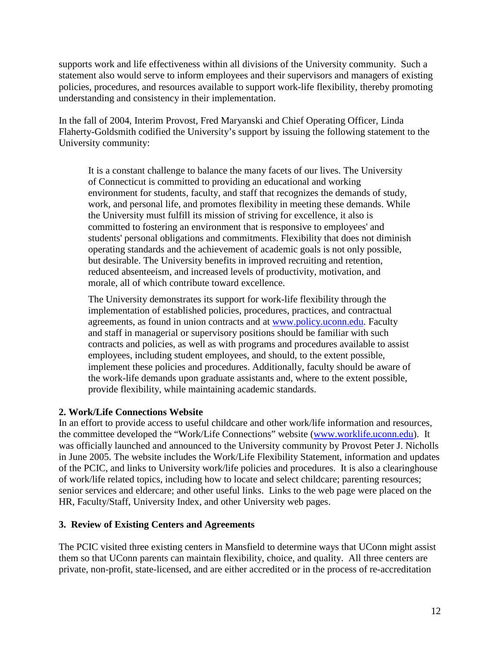supports work and life effectiveness within all divisions of the University community. Such a statement also would serve to inform employees and their supervisors and managers of existing policies, procedures, and resources available to support work-life flexibility, thereby promoting understanding and consistency in their implementation.

In the fall of 2004, Interim Provost, Fred Maryanski and Chief Operating Officer, Linda Flaherty-Goldsmith codified the University's support by issuing the following statement to the University community:

It is a constant challenge to balance the many facets of our lives. The University of Connecticut is committed to providing an educational and working environment for students, faculty, and staff that recognizes the demands of study, work, and personal life, and promotes flexibility in meeting these demands. While the University must fulfill its mission of striving for excellence, it also is committed to fostering an environment that is responsive to employees' and students' personal obligations and commitments. Flexibility that does not diminish operating standards and the achievement of academic goals is not only possible, but desirable. The University benefits in improved recruiting and retention, reduced absenteeism, and increased levels of productivity, motivation, and morale, all of which contribute toward excellence.

The University demonstrates its support for work-life flexibility through the implementation of established policies, procedures, practices, and contractual agreements, as found in union contracts and at www.policy.uconn.edu. Faculty and staff in managerial or supervisory positions should be familiar with such contracts and policies, as well as with programs and procedures available to assist employees, including student employees, and should, to the extent possible, implement these policies and procedures. Additionally, faculty should be aware of the work-life demands upon graduate assistants and, where to the extent possible, provide flexibility, while maintaining academic standards.

# **2. Work/Life Connections Website**

In an effort to provide access to useful childcare and other work/life information and resources, the committee developed the "Work/Life Connections" website (www.worklife.uconn.edu). It was officially launched and announced to the University community by Provost Peter J. Nicholls in June 2005. The website includes the Work/Life Flexibility Statement, information and updates of the PCIC, and links to University work/life policies and procedures. It is also a clearinghouse of work/life related topics, including how to locate and select childcare; parenting resources; senior services and eldercare; and other useful links. Links to the web page were placed on the HR, Faculty/Staff, University Index, and other University web pages.

# **3. Review of Existing Centers and Agreements**

The PCIC visited three existing centers in Mansfield to determine ways that UConn might assist them so that UConn parents can maintain flexibility, choice, and quality. All three centers are private, non-profit, state-licensed, and are either accredited or in the process of re-accreditation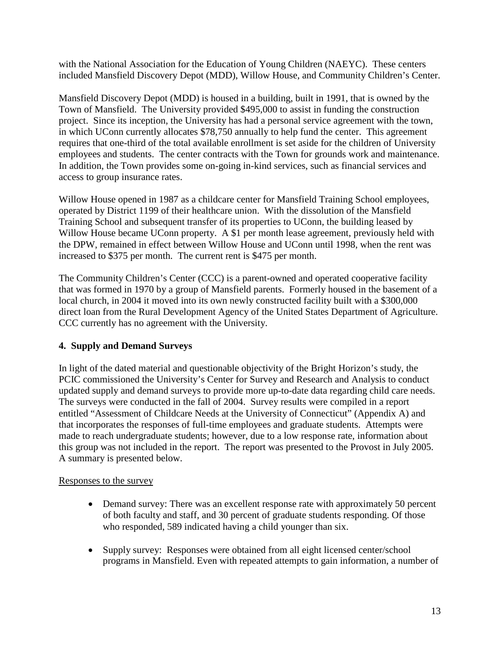with the National Association for the Education of Young Children (NAEYC). These centers included Mansfield Discovery Depot (MDD), Willow House, and Community Children's Center.

Mansfield Discovery Depot (MDD) is housed in a building, built in 1991, that is owned by the Town of Mansfield. The University provided \$495,000 to assist in funding the construction project. Since its inception, the University has had a personal service agreement with the town, in which UConn currently allocates \$78,750 annually to help fund the center. This agreement requires that one-third of the total available enrollment is set aside for the children of University employees and students. The center contracts with the Town for grounds work and maintenance. In addition, the Town provides some on-going in-kind services, such as financial services and access to group insurance rates.

Willow House opened in 1987 as a childcare center for Mansfield Training School employees, operated by District 1199 of their healthcare union. With the dissolution of the Mansfield Training School and subsequent transfer of its properties to UConn, the building leased by Willow House became UConn property. A \$1 per month lease agreement, previously held with the DPW, remained in effect between Willow House and UConn until 1998, when the rent was increased to \$375 per month. The current rent is \$475 per month.

The Community Children's Center (CCC) is a parent-owned and operated cooperative facility that was formed in 1970 by a group of Mansfield parents. Formerly housed in the basement of a local church, in 2004 it moved into its own newly constructed facility built with a \$300,000 direct loan from the Rural Development Agency of the United States Department of Agriculture. CCC currently has no agreement with the University.

# **4. Supply and Demand Surveys**

In light of the dated material and questionable objectivity of the Bright Horizon's study, the PCIC commissioned the University's Center for Survey and Research and Analysis to conduct updated supply and demand surveys to provide more up-to-date data regarding child care needs. The surveys were conducted in the fall of 2004. Survey results were compiled in a report entitled "Assessment of Childcare Needs at the University of Connecticut" (Appendix A) and that incorporates the responses of full-time employees and graduate students. Attempts were made to reach undergraduate students; however, due to a low response rate, information about this group was not included in the report. The report was presented to the Provost in July 2005. A summary is presented below.

# Responses to the survey

- Demand survey: There was an excellent response rate with approximately 50 percent of both faculty and staff, and 30 percent of graduate students responding. Of those who responded, 589 indicated having a child younger than six.
- Supply survey: Responses were obtained from all eight licensed center/school programs in Mansfield. Even with repeated attempts to gain information, a number of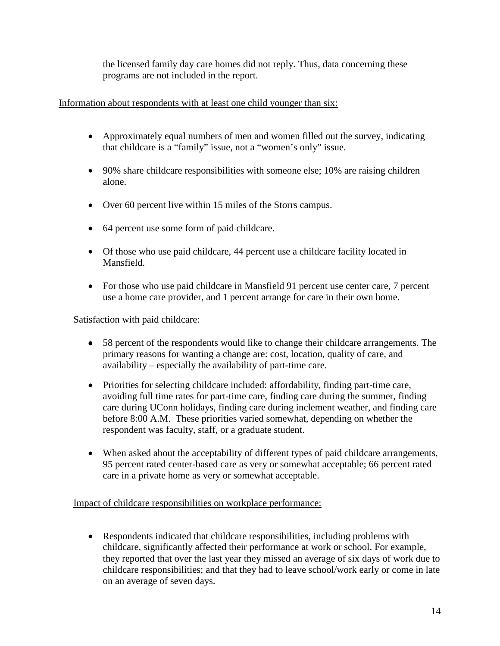the licensed family day care homes did not reply. Thus, data concerning these programs are not included in the report.

# Information about respondents with at least one child younger than six:

- Approximately equal numbers of men and women filled out the survey, indicating that childcare is a "family" issue, not a "women's only" issue.
- 90% share childcare responsibilities with some one else; 10% are raising children alone.
- Over 60 percent live within 15 miles of the Storrs campus.
- 64 percent use some form of paid childcare.
- Of those who use paid childcare, 44 percent use a childcare facility located in Mansfield.
- For those who use paid childcare in Mansfield 91 percent use center care, 7 percent use a home care provider, and 1 percent arrange for care in their own home.

# Satisfaction with paid childcare:

- 58 percent of the respondents would like to change their childcare arrangements. The primary reasons for wanting a change are: cost, location, quality of care, and availability – especially the availability of part-time care.
- Priorities for selecting childcare included: affordability, finding part-time care, avoiding full time rates for part-time care, finding care during the summer, finding care during UConn holidays, finding care during inclement weather, and finding care before 8:00 A.M. These priorities varied somewhat, depending on whether the respondent was faculty, staff, or a graduate student.
- When asked about the acceptability of different types of paid childcare arrangements, 95 percent rated center-based care as very or somewhat acceptable; 66 percent rated care in a private home as very or somewhat acceptable.

# Impact of childcare responsibilities on workplace performance:

• Respondents indicated that childcare responsibilities, including problems with childcare, significantly affected their performance at work or school. For example, they reported that over the last year they missed an average of six days of work due to childcare responsibilities; and that they had to leave school/work early or come in late on an average of seven days.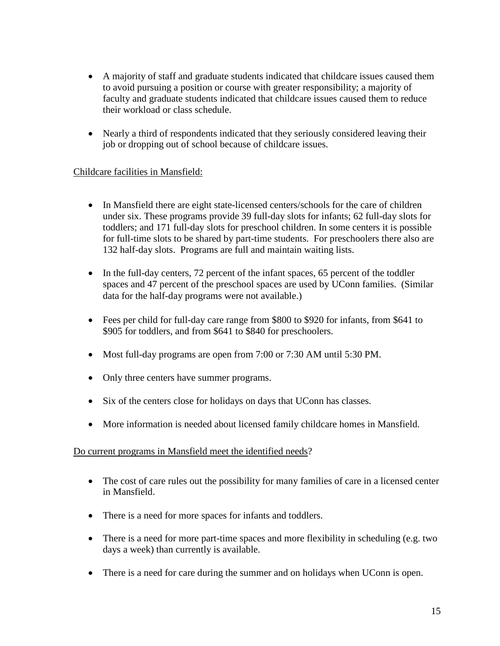- A majority of staff and graduate students indicated that childcare issues caused them to avoid pursuing a position or course with greater responsibility; a majority of faculty and graduate students indicated that childcare issues caused them to reduce their workload or class schedule.
- Nearly a third of respondents indicated that they seriously considered leaving their job or dropping out of school because of childcare issues.

# Childcare facilities in Mansfield:

- In Mansfield there are eight state-licensed centers/schools for the care of children under six. These programs provide 39 full-day slots for infants; 62 full-day slots for toddlers; and 171 full-day slots for preschool children. In some centers it is possible for full-time slots to be shared by part-time students. For preschoolers there also are 132 half-day slots. Programs are full and maintain waiting lists.
- In the full-day centers, 72 percent of the infant spaces, 65 percent of the toddler spaces and 47 percent of the preschool spaces are used by UConn families. (Similar data for the half-day programs were not available.)
- Fees per child for full-day care range from \$800 to \$920 for infants, from \$641 to \$905 for toddlers, and from \$641 to \$840 for preschoolers.
- Most full-day programs are open from 7:00 or 7:30 AM until 5:30 PM.
- Only three centers have summer programs.
- Six of the centers close for holidays on days that UConn has classes.
- More information is needed about licensed family childcare homes in Mansfield.

# Do current programs in Mansfield meet the identified needs?

- The cost of care rules out the possibility for many families of care in a licensed center in Mansfield.
- There is a need for more spaces for infants and toddlers.
- There is a need for more part-time spaces and more flexibility in scheduling (e.g. two days a week) than currently is available.
- There is a need for care during the summer and on holidays when UConn is open.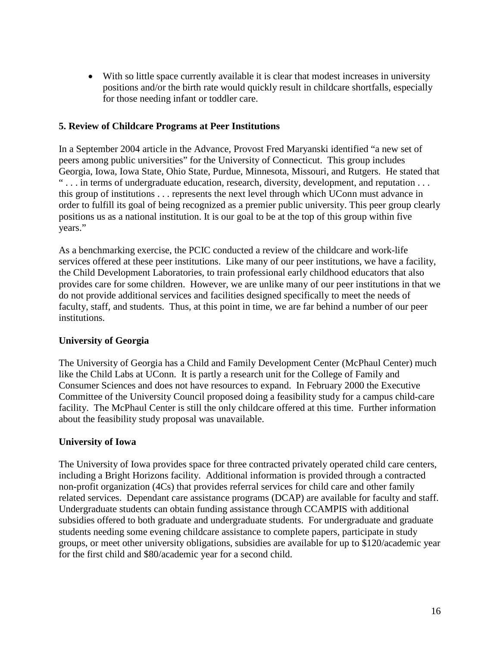• With so little space currently available it is clear that modest increases in university positions and/or the birth rate would quickly result in childcare shortfalls, especially for those needing infant or toddler care.

## **5. Review of Childcare Programs at Peer Institutions**

In a September 2004 article in the Advance, Provost Fred Maryanski identified "a new set of peers among public universities" for the University of Connecticut. This group includes Georgia, Iowa, Iowa State, Ohio State, Purdue, Minnesota, Missouri, and Rutgers. He stated that "... in terms of undergraduate education, research, diversity, development, and reputation ... this group of institutions . . . represents the next level through which UConn must advance in order to fulfill its goal of being recognized as a premier public university. This peer group clearly positions us as a national institution. It is our goal to be at the top of this group within five years."

As a benchmarking exercise, the PCIC conducted a review of the childcare and work-life services offered at these peer institutions. Like many of our peer institutions, we have a facility, the Child Development Laboratories, to train professional early childhood educators that also provides care for some children. However, we are unlike many of our peer institutions in that we do not provide additional services and facilities designed specifically to meet the needs of faculty, staff, and students. Thus, at this point in time, we are far behind a number of our peer institutions.

# **University of Georgia**

The University of Georgia has a Child and Family Development Center (McPhaul Center) much like the Child Labs at UConn. It is partly a research unit for the College of Family and Consumer Sciences and does not have resources to expand. In February 2000 the Executive Committee of the University Council proposed doing a feasibility study for a campus child-care facility. The McPhaul Center is still the only childcare offered at this time. Further information about the feasibility study proposal was unavailable.

# **University of Iowa**

The University of Iowa provides space for three contracted privately operated child care centers, including a Bright Horizons facility. Additional information is provided through a contracted non-profit organization (4Cs) that provides referral services for child care and other family related services. Dependant care assistance programs (DCAP) are available for faculty and staff. Undergraduate students can obtain funding assistance through CCAMPIS with additional subsidies offered to both graduate and undergraduate students. For undergraduate and graduate students needing some evening childcare assistance to complete papers, participate in study groups, or meet other university obligations, subsidies are available for up to \$120/academic year for the first child and \$80/academic year for a second child.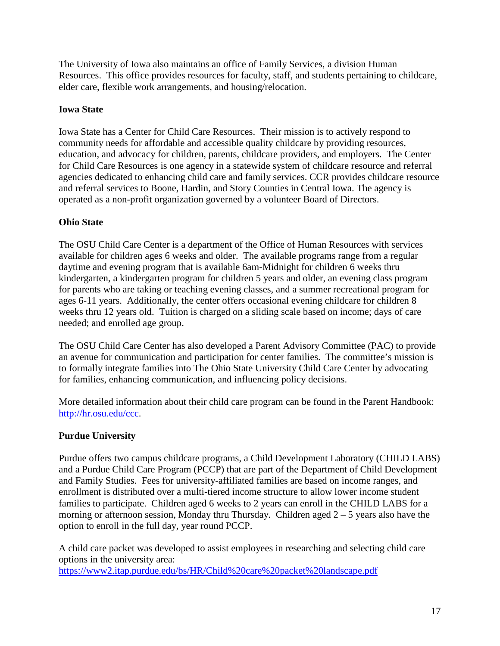The University of Iowa also maintains an office of Family Services, a division Human Resources. This office provides resources for faculty, staff, and students pertaining to childcare, elder care, flexible work arrangements, and housing/relocation.

# **Iowa State**

Iowa State has a Center for Child Care Resources. Their mission is to actively respond to community needs for affordable and accessible quality childcare by providing resources, education, and advocacy for children, parents, childcare providers, and employers. The Center for Child Care Resources is one agency in a statewide system of childcare resource and referral agencies dedicated to enhancing child care and family services. CCR provides childcare resource and referral services to Boone, Hardin, and Story Counties in Central Iowa. The agency is operated as a non-profit organization governed by a volunteer Board of Directors.

# **Ohio State**

The OSU Child Care Center is a department of the Office of Human Resources with services available for children ages 6 weeks and older. The available programs range from a regular daytime and evening program that is available 6am-Midnight for children 6 weeks thru kindergarten, a kindergarten program for children 5 years and older, an evening class program for parents who are taking or teaching evening classes, and a summer recreational program for ages 6-11 years. Additionally, the center offers occasional evening childcare for children 8 weeks thru 12 years old. Tuition is charged on a sliding scale based on income; days of care needed; and enrolled age group.

The OSU Child Care Center has also developed a Parent Advisory Committee (PAC) to provide an avenue for communication and participation for center families. The committee's mission is to formally integrate families into The Ohio State University Child Care Center by advocating for families, enhancing communication, and influencing policy decisions.

More detailed information about their child care program can be found in the Parent Handbook: http://hr.osu.edu/ccc.

# **Purdue University**

Purdue offers two campus childcare programs, a Child Development Laboratory (CHILD LABS) and a Purdue Child Care Program (PCCP) that are part of the Department of Child Development and Family Studies. Fees for university-affiliated families are based on income ranges, and enrollment is distributed over a multi-tiered income structure to allow lower income student families to participate. Children aged 6 weeks to 2 years can enroll in the CHILD LABS for a morning or afternoon session, Monday thru Thursday. Children aged  $2 - 5$  years also have the option to enroll in the full day, year round PCCP.

A child care packet was developed to assist employees in researching and selecting child care options in the university area: https://www2.itap.purdue.edu/bs/HR/Child%20care%20packet%20landscape.pdf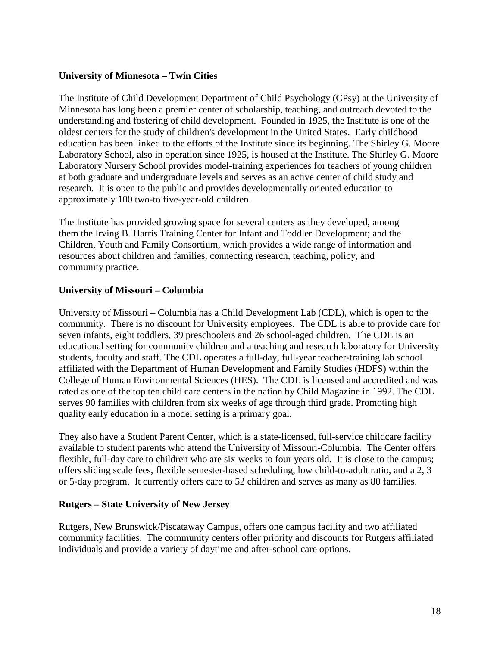## **University of Minnesota – Twin Cities**

The Institute of Child Development Department of Child Psychology (CPsy) at the University of Minnesota has long been a premier center of scholarship, teaching, and outreach devoted to the understanding and fostering of child development. Founded in 1925, the Institute is one of the oldest centers for the study of children's development in the United States. Early childhood education has been linked to the efforts of the Institute since its beginning. The Shirley G. Moore Laboratory School, also in operation since 1925, is housed at the Institute. The Shirley G. Moore Laboratory Nursery School provides model-training experiences for teachers of young children at both graduate and undergraduate levels and serves as an active center of child study and research. It is open to the public and provides developmentally oriented education to approximately 100 two-to five-year-old children.

The Institute has provided growing space for several centers as they developed, among them the Irving B. Harris Training Center for Infant and Toddler Development; and the Children, Youth and Family Consortium, which provides a wide range of information and resources about children and families, connecting research, teaching, policy, and community practice.

## **University of Missouri – Columbia**

University of Missouri – Columbia has a Child Development Lab (CDL), which is open to the community. There is no discount for University employees. The CDL is able to provide care for seven infants, eight toddlers, 39 preschoolers and 26 school-aged children. The CDL is an educational setting for community children and a teaching and research laboratory for University students, faculty and staff. The CDL operates a full-day, full-year teacher-training lab school affiliated with the Department of Human Development and Family Studies (HDFS) within the College of Human Environmental Sciences (HES). The CDL is licensed and accredited and was rated as one of the top ten child care centers in the nation by Child Magazine in 1992. The CDL serves 90 families with children from six weeks of age through third grade. Promoting high quality early education in a model setting is a primary goal.

They also have a Student Parent Center, which is a state-licensed, full-service childcare facility available to student parents who attend the University of Missouri-Columbia. The Center offers flexible, full-day care to children who are six weeks to four years old. It is close to the campus; offers sliding scale fees, flexible semester-based scheduling, low child-to-adult ratio, and a 2, 3 or 5-day program. It currently offers care to 52 children and serves as many as 80 families.

#### **Rutgers – State University of New Jersey**

Rutgers, New Brunswick/Piscataway Campus, offers one campus facility and two affiliated community facilities. The community centers offer priority and discounts for Rutgers affiliated individuals and provide a variety of daytime and after-school care options.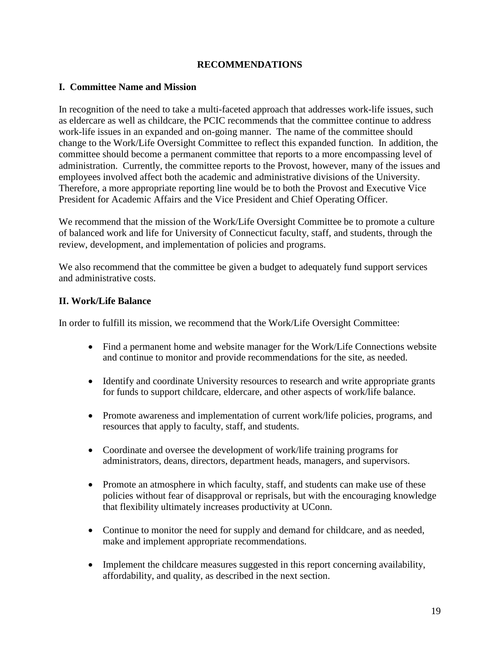## **RECOMMENDATIONS**

### **I. Committee Name and Mission**

In recognition of the need to take a multi-faceted approach that addresses work-life issues, such as eldercare as well as childcare, the PCIC recommends that the committee continue to address work-life issues in an expanded and on-going manner. The name of the committee should change to the Work/Life Oversight Committee to reflect this expanded function. In addition, the committee should become a permanent committee that reports to a more encompassing level of administration. Currently, the committee reports to the Provost, however, many of the issues and employees involved affect both the academic and administrative divisions of the University. Therefore, a more appropriate reporting line would be to both the Provost and Executive Vice President for Academic Affairs and the Vice President and Chief Operating Officer.

We recommend that the mission of the Work/Life Oversight Committee be to promote a culture of balanced work and life for University of Connecticut faculty, staff, and students, through the review, development, and implementation of policies and programs.

We also recommend that the committee be given a budget to adequately fund support services and administrative costs.

## **II. Work/Life Balance**

In order to fulfill its mission, we recommend that the Work/Life Oversight Committee:

- Find a permanent home and website manager for the Work/Life Connections website and continue to monitor and provide recommendations for the site, as needed.
- Identify and coordinate University resources to research and write appropriate grants for funds to support childcare, eldercare, and other aspects of work/life balance.
- Promote awareness and implementation of current work/life policies, programs, and resources that apply to faculty, staff, and students.
- Coordinate and oversee the development of work/life training programs for administrators, deans, directors, department heads, managers, and supervisors.
- Promote an atmosphere in which faculty, staff, and students can make use of these policies without fear of disapproval or reprisals, but with the encouraging knowledge that flexibility ultimately increases productivity at UConn.
- Continue to monitor the need for supply and demand for childcare, and as needed, make and implement appropriate recommendations.
- Implement the childcare measures suggested in this report concerning availability, affordability, and quality, as described in the next section.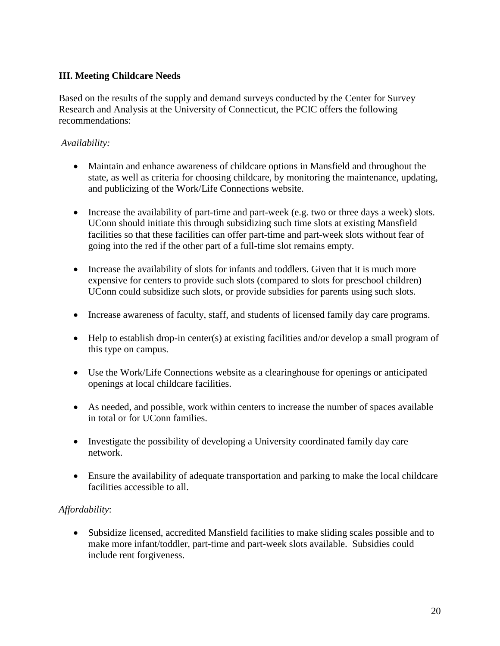# **III. Meeting Childcare Needs**

Based on the results of the supply and demand surveys conducted by the Center for Survey Research and Analysis at the University of Connecticut, the PCIC offers the following recommendations:

# *Availability:*

- Maintain and enhance awareness of childcare options in Mansfield and throughout the state, as well as criteria for choosing childcare, by monitoring the maintenance, updating, and publicizing of the Work/Life Connections website.
- Increase the availability of part-time and part-week (e.g. two or three days a week) slots. UConn should initiate this through subsidizing such time slots at existing Mansfield facilities so that these facilities can offer part-time and part-week slots without fear of going into the red if the other part of a full-time slot remains empty.
- Increase the availability of slots for infants and toddlers. Given that it is much more expensive for centers to provide such slots (compared to slots for preschool children) UConn could subsidize such slots, or provide subsidies for parents using such slots.
- Increase awareness of faculty, staff, and students of licensed family day care programs.
- Help to establish drop-in center(s) at existing facilities and/or develop a small program of this type on campus.
- Use the Work/Life Connections website as a clearinghouse for openings or anticipated openings at local childcare facilities.
- As needed, and possible, work within centers to increase the number of spaces available in total or for UConn families.
- Investigate the possibility of developing a University coordinated family day care network.
- Ensure the availability of adequate transportation and parking to make the local childcare facilities accessible to all.

# *Affordability*:

• Subsidize licensed, accredited Mansfield facilities to make sliding scales possible and to make more infant/toddler, part-time and part-week slots available. Subsidies could include rent forgiveness.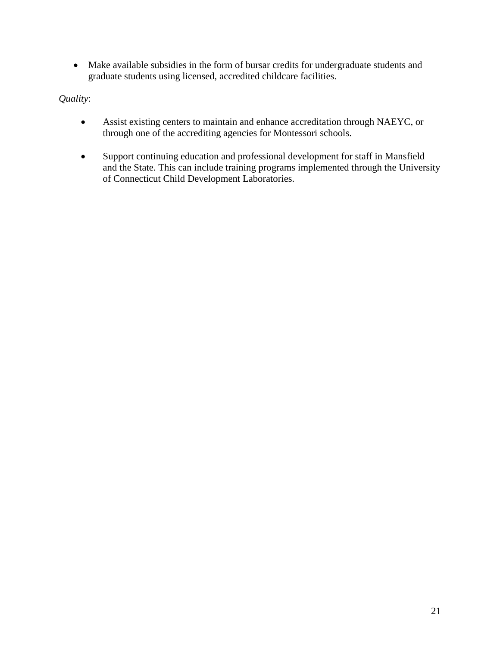• Make available subsidies in the form of bursar credits for undergraduate students and graduate students using licensed, accredited childcare facilities.

# *Quality*:

- Assist existing centers to maintain and enhance accreditation through NAEYC, or through one of the accrediting agencies for Montessori schools.
- Support continuing education and professional development for staff in Mansfield and the State. This can include training programs implemented through the University of Connecticut Child Development Laboratories.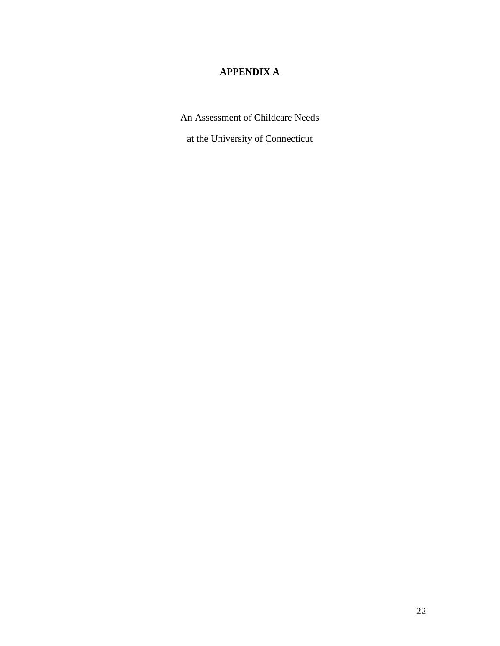# **APPENDIX A**

An Assessment of Childcare Needs

at the University of Connecticut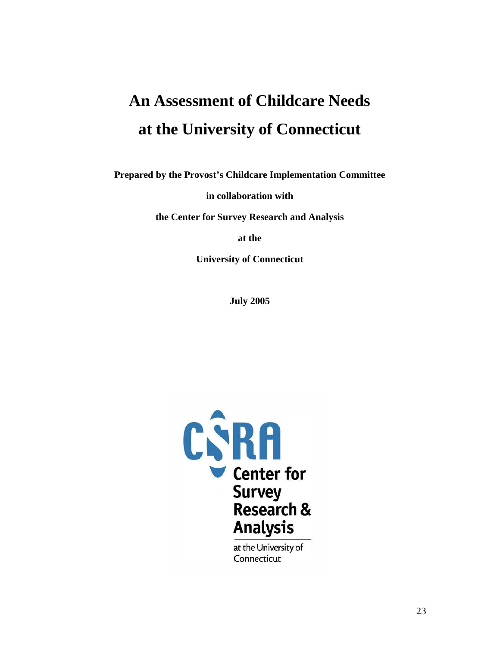# **An Assessment of Childcare Needs at the University of Connecticut**

**Prepared by the Provost's Childcare Implementation Committee** 

**in collaboration with** 

**the Center for Survey Research and Analysis** 

**at the** 

**University of Connecticut** 

**July 2005** 

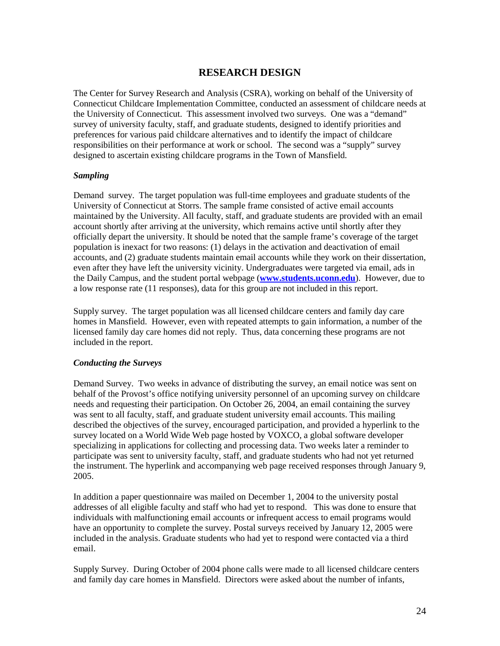# **RESEARCH DESIGN**

The Center for Survey Research and Analysis (CSRA), working on behalf of the University of Connecticut Childcare Implementation Committee, conducted an assessment of childcare needs at the University of Connecticut. This assessment involved two surveys. One was a "demand" survey of university faculty, staff, and graduate students, designed to identify priorities and preferences for various paid childcare alternatives and to identify the impact of childcare responsibilities on their performance at work or school. The second was a "supply" survey designed to ascertain existing childcare programs in the Town of Mansfield.

#### *Sampling*

Demand survey. The target population was full-time employees and graduate students of the University of Connecticut at Storrs. The sample frame consisted of active email accounts maintained by the University. All faculty, staff, and graduate students are provided with an email account shortly after arriving at the university, which remains active until shortly after they officially depart the university. It should be noted that the sample frame's coverage of the target population is inexact for two reasons: (1) delays in the activation and deactivation of email accounts, and (2) graduate students maintain email accounts while they work on their dissertation, even after they have left the university vicinity. Undergraduates were targeted via email, ads in the Daily Campus, and the student portal webpage (**www.students.uconn.edu**). However, due to a low response rate (11 responses), data for this group are not included in this report.

Supply survey. The target population was all licensed childcare centers and family day care homes in Mansfield. However, even with repeated attempts to gain information, a number of the licensed family day care homes did not reply. Thus, data concerning these programs are not included in the report.

#### *Conducting the Surveys*

Demand Survey. Two weeks in advance of distributing the survey, an email notice was sent on behalf of the Provost's office notifying university personnel of an upcoming survey on childcare needs and requesting their participation. On October 26, 2004, an email containing the survey was sent to all faculty, staff, and graduate student university email accounts. This mailing described the objectives of the survey, encouraged participation, and provided a hyperlink to the survey located on a World Wide Web page hosted by VOXCO, a global software developer specializing in applications for collecting and processing data. Two weeks later a reminder to participate was sent to university faculty, staff, and graduate students who had not yet returned the instrument. The hyperlink and accompanying web page received responses through January 9, 2005.

In addition a paper questionnaire was mailed on December 1, 2004 to the university postal addresses of all eligible faculty and staff who had yet to respond. This was done to ensure that individuals with malfunctioning email accounts or infrequent access to email programs would have an opportunity to complete the survey. Postal surveys received by January 12, 2005 were included in the analysis. Graduate students who had yet to respond were contacted via a third email.

Supply Survey. During October of 2004 phone calls were made to all licensed childcare centers and family day care homes in Mansfield. Directors were asked about the number of infants,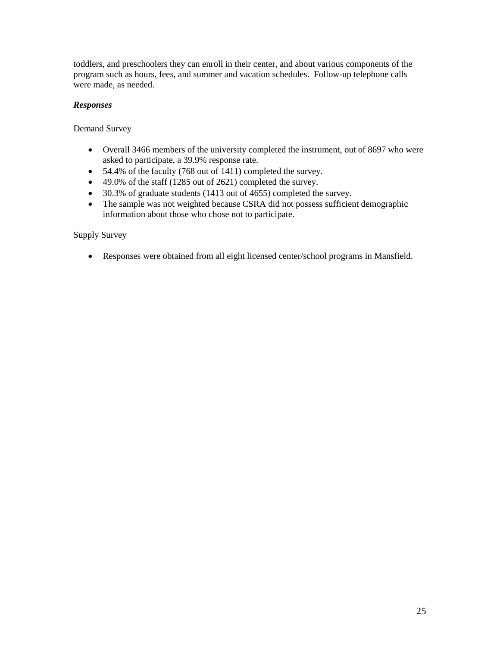toddlers, and preschoolers they can enroll in their center, and about various components of the program such as hours, fees, and summer and vacation schedules. Follow-up telephone calls were made, as needed.

#### *Responses*

Demand Survey

- Overall 3466 members of the university completed the instrument, out of 8697 who were asked to participate, a 39.9% response rate.
- 54.4% of the faculty (768 out of 1411) completed the survey.
- 49.0% of the staff (1285 out of 2621) completed the survey.
- 30.3% of graduate students (1413 out of 4655) completed the survey.
- The sample was not weighted because CSRA did not possess sufficient demographic information about those who chose not to participate.

Supply Survey

• Responses were obtained from all eight licensed center/school programs in Mansfield.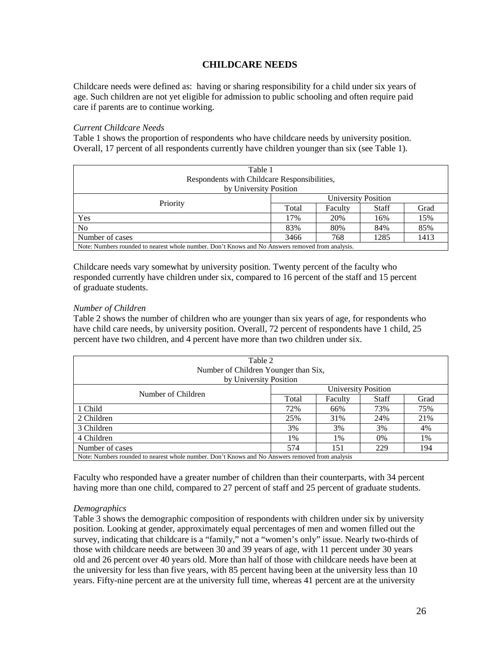## **CHILDCARE NEEDS**

Childcare needs were defined as: having or sharing responsibility for a child under six years of age. Such children are not yet eligible for admission to public schooling and often require paid care if parents are to continue working.

#### *Current Childcare Needs*

Table 1 shows the proportion of respondents who have childcare needs by university position. Overall, 17 percent of all respondents currently have children younger than six (see Table 1).

| Table 1<br>Respondents with Childcare Responsibilities,                                          |                             |         |              |      |  |  |  |
|--------------------------------------------------------------------------------------------------|-----------------------------|---------|--------------|------|--|--|--|
| by University Position                                                                           |                             |         |              |      |  |  |  |
|                                                                                                  | <b>University Position</b>  |         |              |      |  |  |  |
| Priority                                                                                         | Total                       | Faculty | <b>Staff</b> | Grad |  |  |  |
| Yes                                                                                              | 15%<br>17%<br>20%<br>16%    |         |              |      |  |  |  |
| N <sub>o</sub>                                                                                   | 85%<br>83%<br>80%<br>84%    |         |              |      |  |  |  |
| Number of cases                                                                                  | 1285<br>1413<br>3466<br>768 |         |              |      |  |  |  |
| Note: Numbers rounded to nearest whole number. Don't Knows and No Answers removed from analysis. |                             |         |              |      |  |  |  |

Childcare needs vary somewhat by university position. Twenty percent of the faculty who responded currently have children under six, compared to 16 percent of the staff and 15 percent of graduate students.

#### *Number of Children*

Table 2 shows the number of children who are younger than six years of age, for respondents who have child care needs, by university position. Overall, 72 percent of respondents have 1 child, 25 percent have two children, and 4 percent have more than two children under six.

| Table 2<br>Number of Children Younger than Six,                                                 |                          |         |       |      |  |  |  |
|-------------------------------------------------------------------------------------------------|--------------------------|---------|-------|------|--|--|--|
| by University Position<br>University Position                                                   |                          |         |       |      |  |  |  |
| Number of Children                                                                              | Total                    | Faculty | Staff | Grad |  |  |  |
| 1 Child                                                                                         | 72%                      | 66%     | 73%   | 75%  |  |  |  |
| 2 Children                                                                                      | 25%                      | 31%     | 24%   | 21%  |  |  |  |
| 3 Children                                                                                      | 3%                       | 3%      | 3%    | 4%   |  |  |  |
| 4 Children                                                                                      | 1%<br>$0\%$<br>1%<br>1%  |         |       |      |  |  |  |
| Number of cases                                                                                 | 574<br>229<br>151<br>194 |         |       |      |  |  |  |
| Note: Numbers rounded to nearest whole number. Don't Knows and No Answers removed from analysis |                          |         |       |      |  |  |  |

Faculty who responded have a greater number of children than their counterparts, with 34 percent having more than one child, compared to 27 percent of staff and 25 percent of graduate students.

#### *Demographics*

Table 3 shows the demographic composition of respondents with children under six by university position. Looking at gender, approximately equal percentages of men and women filled out the survey, indicating that childcare is a "family," not a "women's only" issue. Nearly two-thirds of those with childcare needs are between 30 and 39 years of age, with 11 percent under 30 years old and 26 percent over 40 years old. More than half of those with childcare needs have been at the university for less than five years, with 85 percent having been at the university less than 10 years. Fifty-nine percent are at the university full time, whereas 41 percent are at the university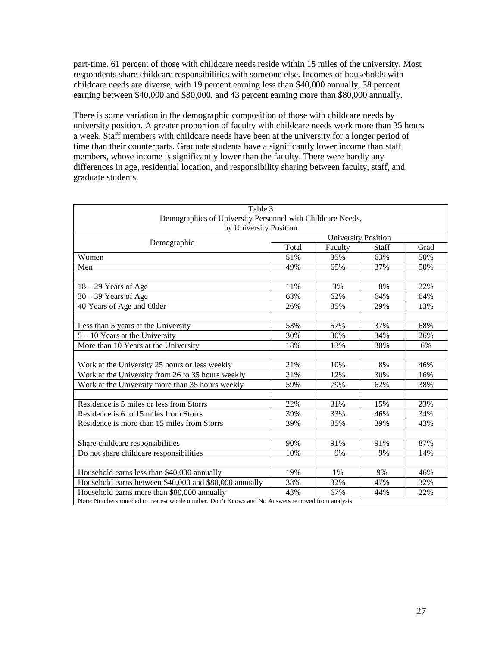part-time. 61 percent of those with childcare needs reside within 15 miles of the university. Most respondents share childcare responsibilities with someone else. Incomes of households with childcare needs are diverse, with 19 percent earning less than \$40,000 annually, 38 percent earning between \$40,000 and \$80,000, and 43 percent earning more than \$80,000 annually.

There is some variation in the demographic composition of those with childcare needs by university position. A greater proportion of faculty with childcare needs work more than 35 hours a week. Staff members with childcare needs have been at the university for a longer period of time than their counterparts. Graduate students have a significantly lower income than staff members, whose income is significantly lower than the faculty. There were hardly any differences in age, residential location, and responsibility sharing between faculty, staff, and graduate students.

| Table 3                                                                                          |                            |         |              |      |  |  |  |  |
|--------------------------------------------------------------------------------------------------|----------------------------|---------|--------------|------|--|--|--|--|
| Demographics of University Personnel with Childcare Needs,                                       |                            |         |              |      |  |  |  |  |
| by University Position                                                                           |                            |         |              |      |  |  |  |  |
| Demographic                                                                                      | <b>University Position</b> |         |              |      |  |  |  |  |
|                                                                                                  | Total                      | Faculty | <b>Staff</b> | Grad |  |  |  |  |
| Women                                                                                            | 51%                        | 35%     | 63%          | 50%  |  |  |  |  |
| Men                                                                                              | 49%                        | 65%     | 37%          | 50%  |  |  |  |  |
|                                                                                                  |                            |         |              |      |  |  |  |  |
| $18 - 29$ Years of Age                                                                           | 11%                        | 3%      | 8%           | 22%  |  |  |  |  |
| $30 - 39$ Years of Age                                                                           | 63%                        | 62%     | 64%          | 64%  |  |  |  |  |
| 40 Years of Age and Older                                                                        | 26%                        | 35%     | 29%          | 13%  |  |  |  |  |
|                                                                                                  |                            |         |              |      |  |  |  |  |
| Less than 5 years at the University                                                              | 53%                        | 57%     | 37%          | 68%  |  |  |  |  |
| $5 - 10$ Years at the University                                                                 | 30%                        | 30%     | 34%          | 26%  |  |  |  |  |
| More than 10 Years at the University                                                             | 18%                        | 13%     | 30%          | 6%   |  |  |  |  |
|                                                                                                  |                            |         |              |      |  |  |  |  |
| Work at the University 25 hours or less weekly                                                   | 21%                        | 10%     | 8%           | 46%  |  |  |  |  |
| Work at the University from 26 to 35 hours weekly                                                | 21%                        | 12%     | 30%          | 16%  |  |  |  |  |
| Work at the University more than 35 hours weekly                                                 | 59%                        | 79%     | 62%          | 38%  |  |  |  |  |
|                                                                                                  |                            |         |              |      |  |  |  |  |
| Residence is 5 miles or less from Storrs                                                         | 22%                        | 31%     | 15%          | 23%  |  |  |  |  |
| Residence is 6 to 15 miles from Storrs                                                           | 39%                        | 33%     | 46%          | 34%  |  |  |  |  |
| Residence is more than 15 miles from Storrs                                                      | 39%                        | 35%     | 39%          | 43%  |  |  |  |  |
|                                                                                                  |                            |         |              |      |  |  |  |  |
| Share childcare responsibilities                                                                 | 90%                        | 91%     | 91%          | 87%  |  |  |  |  |
| Do not share childcare responsibilities                                                          | 10%                        | 9%      | 9%           | 14%  |  |  |  |  |
|                                                                                                  |                            |         |              |      |  |  |  |  |
| Household earns less than \$40,000 annually                                                      | 19%                        | 1%      | 9%           | 46%  |  |  |  |  |
| Household earns between \$40,000 and \$80,000 annually                                           | 38%                        | 32%     | 47%          | 32%  |  |  |  |  |
| Household earns more than \$80,000 annually                                                      | 43%                        | 67%     | 44%          | 22%  |  |  |  |  |
| Note: Numbers rounded to nearest whole number. Don't Knows and No Answers removed from analysis. |                            |         |              |      |  |  |  |  |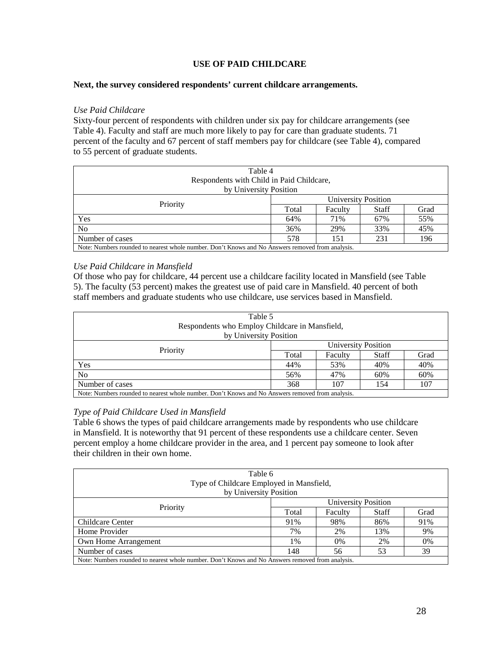#### **USE OF PAID CHILDCARE**

#### **Next, the survey considered respondents' current childcare arrangements.**

#### *Use Paid Childcare*

Sixty-four percent of respondents with children under six pay for childcare arrangements (see Table 4). Faculty and staff are much more likely to pay for care than graduate students. 71 percent of the faculty and 67 percent of staff members pay for childcare (see Table 4), compared to 55 percent of graduate students.

| Table 4<br>Respondents with Child in Paid Childcare,<br>by University Position                   |                          |         |       |      |  |  |  |
|--------------------------------------------------------------------------------------------------|--------------------------|---------|-------|------|--|--|--|
|                                                                                                  | University Position      |         |       |      |  |  |  |
| Priority                                                                                         | Total                    | Faculty | Staff | Grad |  |  |  |
| Yes                                                                                              | 55%<br>67%<br>64%<br>71% |         |       |      |  |  |  |
| N <sub>o</sub>                                                                                   | 33%<br>45%<br>36%<br>29% |         |       |      |  |  |  |
| Number of cases                                                                                  | 578<br>196<br>231<br>151 |         |       |      |  |  |  |
| Note: Numbers rounded to nearest whole number. Don't Knows and No Answers removed from analysis. |                          |         |       |      |  |  |  |

#### *Use Paid Childcare in Mansfield*

Of those who pay for childcare, 44 percent use a childcare facility located in Mansfield (see Table 5). The faculty (53 percent) makes the greatest use of paid care in Mansfield. 40 percent of both staff members and graduate students who use childcare, use services based in Mansfield.

| Table 5<br>Respondents who Employ Childcare in Mansfield,<br>by University Position              |                          |         |              |      |  |  |  |
|--------------------------------------------------------------------------------------------------|--------------------------|---------|--------------|------|--|--|--|
|                                                                                                  |                          |         |              |      |  |  |  |
| Priority                                                                                         | University Position      |         |              |      |  |  |  |
|                                                                                                  | Total                    | Faculty | <b>Staff</b> | Grad |  |  |  |
| Yes                                                                                              | 40%<br>40%<br>44%<br>53% |         |              |      |  |  |  |
| N <sub>o</sub>                                                                                   | 60%<br>60%<br>47%<br>56% |         |              |      |  |  |  |
| Number of cases                                                                                  | 368<br>107<br>107<br>154 |         |              |      |  |  |  |
| Note: Numbers rounded to nearest whole number. Don't Knows and No Answers removed from analysis. |                          |         |              |      |  |  |  |

#### *Type of Paid Childcare Used in Mansfield*

Table 6 shows the types of paid childcare arrangements made by respondents who use childcare in Mansfield. It is noteworthy that 91 percent of these respondents use a childcare center. Seven percent employ a home childcare provider in the area, and 1 percent pay someone to look after their children in their own home.

| Table 6<br>Type of Childcare Employed in Mansfield,<br>by University Position                    |                          |                            |              |      |  |  |  |  |
|--------------------------------------------------------------------------------------------------|--------------------------|----------------------------|--------------|------|--|--|--|--|
| Priority                                                                                         |                          | <b>University Position</b> |              |      |  |  |  |  |
|                                                                                                  | Total                    | Faculty                    | <b>Staff</b> | Grad |  |  |  |  |
| Childcare Center                                                                                 | 91%<br>98%<br>86%<br>91% |                            |              |      |  |  |  |  |
| Home Provider                                                                                    | 7%                       | 2%                         | 13%          | 9%   |  |  |  |  |
| Own Home Arrangement                                                                             | 2%<br>0%<br>1%<br>$0\%$  |                            |              |      |  |  |  |  |
| Number of cases                                                                                  | 39<br>53<br>148<br>56    |                            |              |      |  |  |  |  |
| Note: Numbers rounded to nearest whole number. Don't Knows and No Answers removed from analysis. |                          |                            |              |      |  |  |  |  |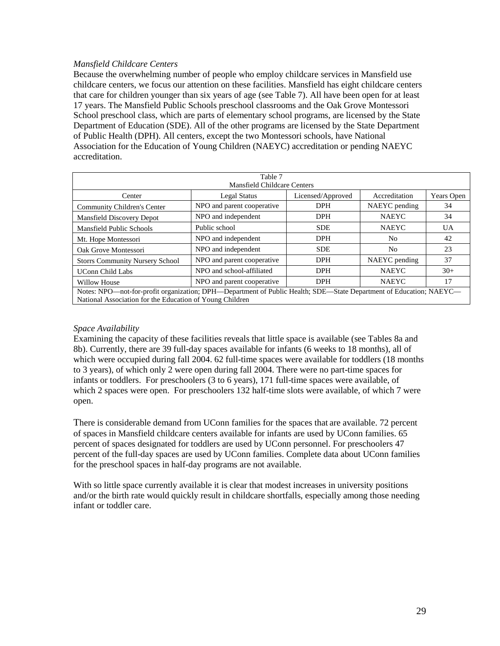#### *Mansfield Childcare Centers*

Because the overwhelming number of people who employ childcare services in Mansfield use childcare centers, we focus our attention on these facilities. Mansfield has eight childcare centers that care for children younger than six years of age (see Table 7). All have been open for at least 17 years. The Mansfield Public Schools preschool classrooms and the Oak Grove Montessori School preschool class, which are parts of elementary school programs, are licensed by the State Department of Education (SDE). All of the other programs are licensed by the State Department of Public Health (DPH). All centers, except the two Montessori schools, have National Association for the Education of Young Children (NAEYC) accreditation or pending NAEYC accreditation.

| Table 7                                                                                                                                                                        |                            |                   |                |            |  |  |  |  |
|--------------------------------------------------------------------------------------------------------------------------------------------------------------------------------|----------------------------|-------------------|----------------|------------|--|--|--|--|
| <b>Mansfield Childcare Centers</b>                                                                                                                                             |                            |                   |                |            |  |  |  |  |
| Center                                                                                                                                                                         | <b>Legal Status</b>        | Licensed/Approved | Accreditation  | Years Open |  |  |  |  |
| Community Children's Center                                                                                                                                                    | NPO and parent cooperative | <b>DPH</b>        | NAEYC pending  | 34         |  |  |  |  |
| Mansfield Discovery Depot                                                                                                                                                      | NPO and independent        | <b>DPH</b>        | <b>NAEYC</b>   | 34         |  |  |  |  |
| <b>Mansfield Public Schools</b>                                                                                                                                                | Public school              | <b>SDE</b>        | <b>NAEYC</b>   | UA         |  |  |  |  |
| Mt. Hope Montessori                                                                                                                                                            | NPO and independent        | <b>DPH</b>        | N <sub>0</sub> | 42         |  |  |  |  |
| Oak Grove Montessori                                                                                                                                                           | NPO and independent        | <b>SDE</b>        | No             | 23         |  |  |  |  |
| <b>Storrs Community Nursery School</b>                                                                                                                                         | NPO and parent cooperative | <b>DPH</b>        | NAEYC pending  | 37         |  |  |  |  |
| <b>UConn Child Labs</b>                                                                                                                                                        | NPO and school-affiliated  | <b>DPH</b>        | <b>NAEYC</b>   | $30+$      |  |  |  |  |
| NPO and parent cooperative<br><b>DPH</b><br><b>NAEYC</b><br>17<br>Willow House                                                                                                 |                            |                   |                |            |  |  |  |  |
| Notes: NPO-not-for-profit organization; DPH-Department of Public Health; SDE-State Department of Education; NAEYC-<br>National Association for the Education of Young Children |                            |                   |                |            |  |  |  |  |

#### *Space Availability*

Examining the capacity of these facilities reveals that little space is available (see Tables 8a and 8b). Currently, there are 39 full-day spaces available for infants (6 weeks to 18 months), all of which were occupied during fall 2004. 62 full-time spaces were available for toddlers (18 months to 3 years), of which only 2 were open during fall 2004. There were no part-time spaces for infants or toddlers. For preschoolers (3 to 6 years), 171 full-time spaces were available, of which 2 spaces were open. For preschoolers 132 half-time slots were available, of which 7 were open.

 There is considerable demand from UConn families for the spaces that are available. 72 percent of spaces in Mansfield childcare centers available for infants are used by UConn families. 65 percent of spaces designated for toddlers are used by UConn personnel. For preschoolers 47 percent of the full-day spaces are used by UConn families. Complete data about UConn families for the preschool spaces in half-day programs are not available.

With so little space currently available it is clear that modest increases in university positions and/or the birth rate would quickly result in childcare shortfalls, especially among those needing infant or toddler care.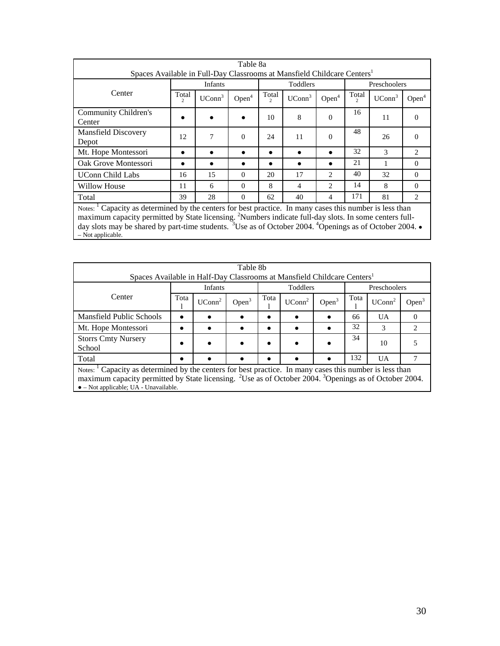| Table 8a<br>Spaces Available in Full-Day Classrooms at Mansfield Childcare Centers <sup>1</sup>                                                                                                                                                                                                                                                                                                     |                        |                    |                   |                                 |                    |                             |                        |                    |                               |
|-----------------------------------------------------------------------------------------------------------------------------------------------------------------------------------------------------------------------------------------------------------------------------------------------------------------------------------------------------------------------------------------------------|------------------------|--------------------|-------------------|---------------------------------|--------------------|-----------------------------|------------------------|--------------------|-------------------------------|
|                                                                                                                                                                                                                                                                                                                                                                                                     |                        |                    |                   |                                 |                    |                             |                        |                    |                               |
|                                                                                                                                                                                                                                                                                                                                                                                                     |                        | <b>Infants</b>     |                   |                                 | Toddlers           |                             |                        | Preschoolers       |                               |
| Center                                                                                                                                                                                                                                                                                                                                                                                              | Total<br>$\mathcal{L}$ | UConn <sup>3</sup> | Open <sup>4</sup> | Total<br>$\mathcal{D}_{\alpha}$ | UConn <sup>3</sup> | Open <sup>4</sup>           | Total<br>$\mathcal{L}$ | UConn <sup>3</sup> | Open <sup>4</sup>             |
| Community Children's<br>Center                                                                                                                                                                                                                                                                                                                                                                      |                        |                    |                   | 10                              | 8                  | $\Omega$                    | 16                     | 11                 | $\Omega$                      |
| <b>Mansfield Discovery</b><br>Depot                                                                                                                                                                                                                                                                                                                                                                 | 12                     | 7                  | $\Omega$          | 24                              | 11                 | $\Omega$                    | 48                     | 26                 | $\Omega$                      |
| Mt. Hope Montessori                                                                                                                                                                                                                                                                                                                                                                                 | ٠                      |                    |                   | ∙                               |                    |                             | 32                     | 3                  | $\mathfrak{D}_{\mathfrak{p}}$ |
| Oak Grove Montessori                                                                                                                                                                                                                                                                                                                                                                                |                        |                    |                   |                                 |                    |                             | 21                     |                    | $\Omega$                      |
| <b>UConn Child Labs</b>                                                                                                                                                                                                                                                                                                                                                                             | 16                     | 15                 | $\Omega$          | 20                              | 17                 | $\mathfrak{D}$              | 40                     | 32                 | $\Omega$                      |
| <b>Willow House</b>                                                                                                                                                                                                                                                                                                                                                                                 | 11                     | 6                  | $\Omega$          | 8                               | 4                  | $\mathcal{D}_{\mathcal{L}}$ | 14                     | 8                  | $\Omega$                      |
| Total                                                                                                                                                                                                                                                                                                                                                                                               | 39                     | 28                 | $\Omega$          | 62                              | 40                 | 4                           | 171                    | 81                 | $\mathcal{D}_{\mathcal{L}}$   |
| Notes: <sup>1</sup> Capacity as determined by the centers for best practice. In many cases this number is less than<br>maximum capacity permitted by State licensing. <sup>2</sup> Numbers indicate full-day slots. In some centers full-<br>day slots may be shared by part-time students. <sup>3</sup> Use as of October 2004. <sup>4</sup> Openings as of October 2004. •<br>$-$ Not applicable. |                        |                    |                   |                                 |                    |                             |                        |                    |                               |

| Table 8b<br>Spaces Available in Half-Day Classrooms at Mansfield Childcare Centers <sup>1</sup>                                                                                                                                                                                                       |      |                    |          |      |                    |          |              |                    |                             |
|-------------------------------------------------------------------------------------------------------------------------------------------------------------------------------------------------------------------------------------------------------------------------------------------------------|------|--------------------|----------|------|--------------------|----------|--------------|--------------------|-----------------------------|
|                                                                                                                                                                                                                                                                                                       |      |                    |          |      |                    |          |              |                    |                             |
|                                                                                                                                                                                                                                                                                                       |      | <b>Infants</b>     |          |      | <b>Toddlers</b>    |          | Preschoolers |                    |                             |
| Center                                                                                                                                                                                                                                                                                                | Tota | UConn <sup>2</sup> | Open $3$ | Tota | UConn <sup>2</sup> | Open $3$ | Tota         | UConn <sup>2</sup> | Open <sup>3</sup>           |
| <b>Mansfield Public Schools</b>                                                                                                                                                                                                                                                                       |      |                    |          |      |                    | ٠        | 66           | UA.                | $\Omega$                    |
| Mt. Hope Montessori                                                                                                                                                                                                                                                                                   |      |                    |          |      |                    |          | 32           | $\mathcal{R}$      | $\mathcal{D}_{\mathcal{A}}$ |
| <b>Storrs Cmty Nursery</b><br>School                                                                                                                                                                                                                                                                  |      |                    |          |      |                    |          | 34           | 10                 |                             |
| Total                                                                                                                                                                                                                                                                                                 |      |                    |          |      |                    |          | 132          | UA.                |                             |
| Notes: <sup>1</sup> Capacity as determined by the centers for best practice. In many cases this number is less than<br>maximum capacity permitted by State licensing. <sup>2</sup> Use as of October 2004. <sup>3</sup> Openings as of October 2004.<br>$\bullet$ – Not applicable; UA - Unavailable. |      |                    |          |      |                    |          |              |                    |                             |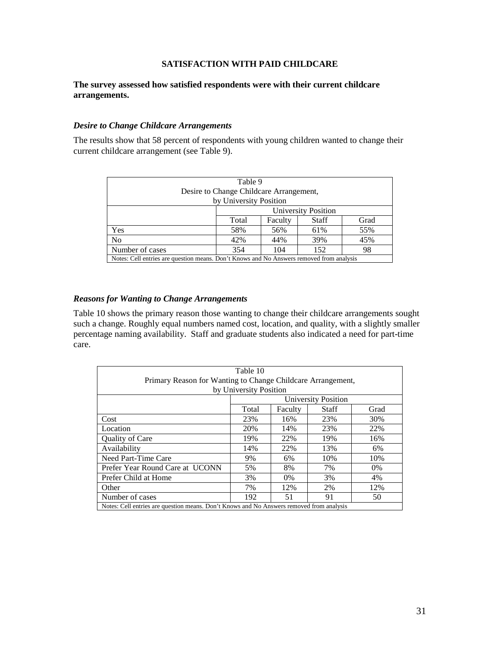#### **SATISFACTION WITH PAID CHILDCARE**

#### **The survey assessed how satisfied respondents were with their current childcare arrangements.**

#### *Desire to Change Childcare Arrangements*

The results show that 58 percent of respondents with young children wanted to change their current childcare arrangement (see Table 9).

| Table 9                                                                                  |                                         |         |              |      |  |  |  |  |
|------------------------------------------------------------------------------------------|-----------------------------------------|---------|--------------|------|--|--|--|--|
|                                                                                          | Desire to Change Childcare Arrangement, |         |              |      |  |  |  |  |
|                                                                                          | by University Position                  |         |              |      |  |  |  |  |
|                                                                                          | <b>University Position</b>              |         |              |      |  |  |  |  |
|                                                                                          | Total                                   | Faculty | <b>Staff</b> | Grad |  |  |  |  |
| Yes                                                                                      | 58%                                     | 56%     | 61%          | 55%  |  |  |  |  |
| N <sub>0</sub>                                                                           | 45%<br>42%<br>39%<br>44%                |         |              |      |  |  |  |  |
| Number of cases                                                                          | 152<br>98<br>354<br>104                 |         |              |      |  |  |  |  |
| Notes: Cell entries are question means. Don't Knows and No Answers removed from analysis |                                         |         |              |      |  |  |  |  |

#### *Reasons for Wanting to Change Arrangements*

Table 10 shows the primary reason those wanting to change their childcare arrangements sought such a change. Roughly equal numbers named cost, location, and quality, with a slightly smaller percentage naming availability. Staff and graduate students also indicated a need for part-time care.

| Table 10                                                                                 |       |         |                            |       |  |  |  |  |
|------------------------------------------------------------------------------------------|-------|---------|----------------------------|-------|--|--|--|--|
| Primary Reason for Wanting to Change Childcare Arrangement,                              |       |         |                            |       |  |  |  |  |
| by University Position                                                                   |       |         |                            |       |  |  |  |  |
|                                                                                          |       |         | <b>University Position</b> |       |  |  |  |  |
|                                                                                          | Total | Faculty | <b>Staff</b>               | Grad  |  |  |  |  |
| Cost                                                                                     | 23%   | 16%     | 23%                        | 30%   |  |  |  |  |
| Location                                                                                 | 20%   | 14%     | 23%                        | 22%   |  |  |  |  |
| <b>Ouality of Care</b>                                                                   | 19%   | 22%     | 19%                        | 16%   |  |  |  |  |
| Availability                                                                             | 14%   | 22%     | 13%                        | 6%    |  |  |  |  |
| Need Part-Time Care                                                                      | 9%    | 6%      | 10%                        | 10%   |  |  |  |  |
| Prefer Year Round Care at UCONN                                                          | 5%    | 8%      | 7%                         | $0\%$ |  |  |  |  |
| Prefer Child at Home                                                                     | 3%    | $0\%$   | 3%                         | 4%    |  |  |  |  |
| 12%<br>7%<br>12%<br>2%<br>Other                                                          |       |         |                            |       |  |  |  |  |
| Number of cases<br>192<br>51<br>91<br>50                                                 |       |         |                            |       |  |  |  |  |
| Notes: Cell entries are question means. Don't Knows and No Answers removed from analysis |       |         |                            |       |  |  |  |  |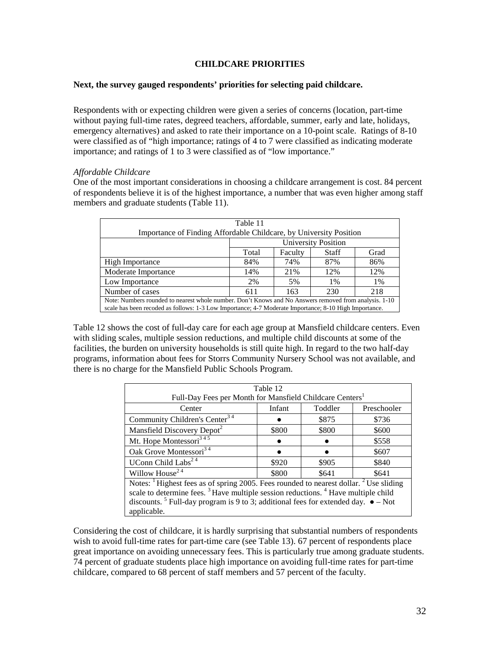#### **CHILDCARE PRIORITIES**

#### **Next, the survey gauged respondents' priorities for selecting paid childcare.**

Respondents with or expecting children were given a series of concerns (location, part-time without paying full-time rates, degreed teachers, affordable, summer, early and late, holidays, emergency alternatives) and asked to rate their importance on a 10-point scale. Ratings of 8-10 were classified as of "high importance; ratings of 4 to 7 were classified as indicating moderate importance; and ratings of 1 to 3 were classified as of "low importance."

#### *Affordable Childcare*

One of the most important considerations in choosing a childcare arrangement is cost. 84 percent of respondents believe it is of the highest importance, a number that was even higher among staff members and graduate students (Table 11).

| Table 11                                                                                                                                                                                                       |                          |         |       |      |  |  |  |  |
|----------------------------------------------------------------------------------------------------------------------------------------------------------------------------------------------------------------|--------------------------|---------|-------|------|--|--|--|--|
| Importance of Finding Affordable Childcare, by University Position                                                                                                                                             |                          |         |       |      |  |  |  |  |
| <b>University Position</b>                                                                                                                                                                                     |                          |         |       |      |  |  |  |  |
|                                                                                                                                                                                                                | Total                    | Faculty | Staff | Grad |  |  |  |  |
| High Importance                                                                                                                                                                                                | 84%                      | 74%     | 87%   | 86%  |  |  |  |  |
| Moderate Importance                                                                                                                                                                                            | 14%                      | 21%     | 12%   | 12%  |  |  |  |  |
| Low Importance                                                                                                                                                                                                 | 2%                       | 5%      | $1\%$ | 1%   |  |  |  |  |
| Number of cases                                                                                                                                                                                                | 218<br>611<br>230<br>163 |         |       |      |  |  |  |  |
| Note: Numbers rounded to nearest whole number. Don't Knows and No Answers removed from analysis. 1-10<br>scale has been recoded as follows: 1-3 Low Importance; 4-7 Moderate Importance; 8-10 High Importance. |                          |         |       |      |  |  |  |  |

Table 12 shows the cost of full-day care for each age group at Mansfield childcare centers. Even with sliding scales, multiple session reductions, and multiple child discounts at some of the facilities, the burden on university households is still quite high. In regard to the two half-day programs, information about fees for Storrs Community Nursery School was not available, and there is no charge for the Mansfield Public Schools Program.

| Table 12                                                                                                     |                                  |       |       |  |  |  |  |
|--------------------------------------------------------------------------------------------------------------|----------------------------------|-------|-------|--|--|--|--|
| Full-Day Fees per Month for Mansfield Childcare Centers <sup>1</sup>                                         |                                  |       |       |  |  |  |  |
| Center                                                                                                       | Infant<br>Toddler<br>Preschooler |       |       |  |  |  |  |
| Community Children's Center <sup>34</sup>                                                                    |                                  | \$875 | \$736 |  |  |  |  |
| Mansfield Discovery Depot <sup>2</sup>                                                                       | \$800                            | \$800 | \$600 |  |  |  |  |
| Mt. Hope Montessori <sup>345</sup>                                                                           |                                  |       | \$558 |  |  |  |  |
| Oak Grove Montessori <sup>34</sup>                                                                           |                                  |       | \$607 |  |  |  |  |
| UConn Child Labs <sup>24</sup>                                                                               | \$920                            | \$905 | \$840 |  |  |  |  |
| Willow House <sup>24</sup>                                                                                   | \$800                            | \$641 | \$641 |  |  |  |  |
| Notes: <sup>1</sup> Highest fees as of spring 2005. Fees rounded to nearest dollar. <sup>2</sup> Use sliding |                                  |       |       |  |  |  |  |
| scale to determine fees. <sup>3</sup> Have multiple session reductions. <sup>4</sup> Have multiple child     |                                  |       |       |  |  |  |  |
| discounts. <sup>5</sup> Full-day program is 9 to 3; additional fees for extended day. $\bullet$ – Not        |                                  |       |       |  |  |  |  |
| applicable.                                                                                                  |                                  |       |       |  |  |  |  |

Considering the cost of childcare, it is hardly surprising that substantial numbers of respondents wish to avoid full-time rates for part-time care (see Table 13). 67 percent of respondents place great importance on avoiding unnecessary fees. This is particularly true among graduate students. 74 percent of graduate students place high importance on avoiding full-time rates for part-time childcare, compared to 68 percent of staff members and 57 percent of the faculty.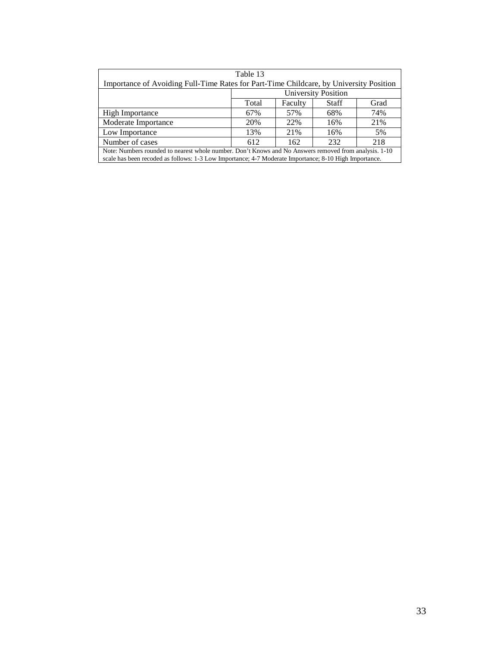| Table 13                                                                                                                                                                                                       |                                          |     |     |     |  |
|----------------------------------------------------------------------------------------------------------------------------------------------------------------------------------------------------------------|------------------------------------------|-----|-----|-----|--|
| Importance of Avoiding Full-Time Rates for Part-Time Childcare, by University Position                                                                                                                         |                                          |     |     |     |  |
| <b>University Position</b>                                                                                                                                                                                     |                                          |     |     |     |  |
|                                                                                                                                                                                                                | Total<br>Faculty<br><b>Staff</b><br>Grad |     |     |     |  |
| High Importance                                                                                                                                                                                                | 67%                                      | 57% | 68% | 74% |  |
| Moderate Importance                                                                                                                                                                                            | 20%                                      | 22% | 16% | 21% |  |
| Low Importance                                                                                                                                                                                                 | 13%                                      | 21% | 16% | 5%  |  |
| Number of cases<br>232<br>218<br>612<br>162                                                                                                                                                                    |                                          |     |     |     |  |
| Note: Numbers rounded to nearest whole number. Don't Knows and No Answers removed from analysis. 1-10<br>scale has been recoded as follows: 1-3 Low Importance; 4-7 Moderate Importance; 8-10 High Importance. |                                          |     |     |     |  |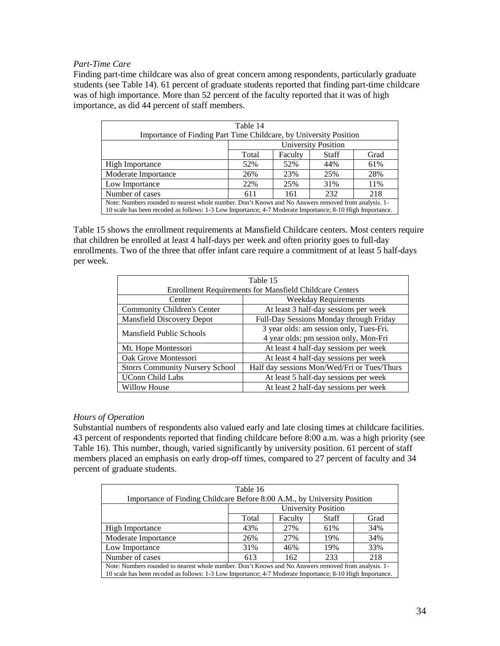#### *Part-Time Care*

Finding part-time childcare was also of great concern among respondents, particularly graduate students (see Table 14). 61 percent of graduate students reported that finding part-time childcare was of high importance. More than 52 percent of the faculty reported that it was of high importance, as did 44 percent of staff members.

| Table 14                                                                                                 |                                   |     |     |     |  |
|----------------------------------------------------------------------------------------------------------|-----------------------------------|-----|-----|-----|--|
| Importance of Finding Part Time Childcare, by University Position                                        |                                   |     |     |     |  |
| <b>University Position</b>                                                                               |                                   |     |     |     |  |
|                                                                                                          | Total<br>Faculty<br>Staff<br>Grad |     |     |     |  |
| <b>High Importance</b>                                                                                   | 52%                               | 52% | 44% | 61% |  |
| Moderate Importance                                                                                      | 26%                               | 23% | 25% | 28% |  |
| Low Importance                                                                                           | 22%                               | 25% | 31% | 11% |  |
| 232<br>218<br>Number of cases<br>611<br>161                                                              |                                   |     |     |     |  |
| Note: Numbers rounded to nearest whole number. Don't Knows and No Answers removed from analysis. 1-      |                                   |     |     |     |  |
| 10 scale has been recoded as follows: 1-3 Low Importance; 4-7 Moderate Importance; 8-10 High Importance. |                                   |     |     |     |  |

Table 15 shows the enrollment requirements at Mansfield Childcare centers. Most centers require that children be enrolled at least 4 half-days per week and often priority goes to full-day enrollments. Two of the three that offer infant care require a commitment of at least 5 half-days per week.

| Table 15                                                       |                                             |  |  |  |
|----------------------------------------------------------------|---------------------------------------------|--|--|--|
| <b>Enrollment Requirements for Mansfield Childcare Centers</b> |                                             |  |  |  |
| <b>Weekday Requirements</b><br>Center                          |                                             |  |  |  |
| Community Children's Center                                    | At least 3 half-day sessions per week       |  |  |  |
| <b>Mansfield Discovery Depot</b>                               | Full-Day Sessions Monday through Friday     |  |  |  |
| <b>Mansfield Public Schools</b>                                | 3 year olds: am session only, Tues-Fri.     |  |  |  |
|                                                                | 4 year olds: pm session only, Mon-Fri       |  |  |  |
| Mt. Hope Montessori                                            | At least 4 half-day sessions per week       |  |  |  |
| Oak Grove Montessori                                           | At least 4 half-day sessions per week       |  |  |  |
| <b>Storrs Community Nursery School</b>                         | Half day sessions Mon/Wed/Fri or Tues/Thurs |  |  |  |
| <b>UConn Child Labs</b>                                        | At least 5 half-day sessions per week       |  |  |  |
| Willow House                                                   | At least 2 half-day sessions per week       |  |  |  |

#### *Hours of Operation*

Substantial numbers of respondents also valued early and late closing times at childcare facilities. 43 percent of respondents reported that finding childcare before 8:00 a.m. was a high priority (see Table 16). This number, though, varied significantly by university position. 61 percent of staff members placed an emphasis on early drop-off times, compared to 27 percent of faculty and 34 percent of graduate students.

| Table 16                                                                                                 |                                   |     |     |     |  |
|----------------------------------------------------------------------------------------------------------|-----------------------------------|-----|-----|-----|--|
| Importance of Finding Childcare Before 8:00 A.M., by University Position                                 |                                   |     |     |     |  |
| <b>University Position</b>                                                                               |                                   |     |     |     |  |
|                                                                                                          | Faculty<br>Grad<br>Total<br>Staff |     |     |     |  |
| <b>High Importance</b>                                                                                   | 43%                               | 27% | 61% | 34% |  |
| Moderate Importance                                                                                      | 26%                               | 27% | 19% | 34% |  |
| Low Importance                                                                                           | 31%                               | 46% | 19% | 33% |  |
| Number of cases<br>233<br>218<br>162<br>613                                                              |                                   |     |     |     |  |
| Note: Numbers rounded to nearest whole number. Don't Knows and No Answers removed from analysis. 1-      |                                   |     |     |     |  |
| 10 scale has been recoded as follows: 1-3 Low Importance; 4-7 Moderate Importance; 8-10 High Importance. |                                   |     |     |     |  |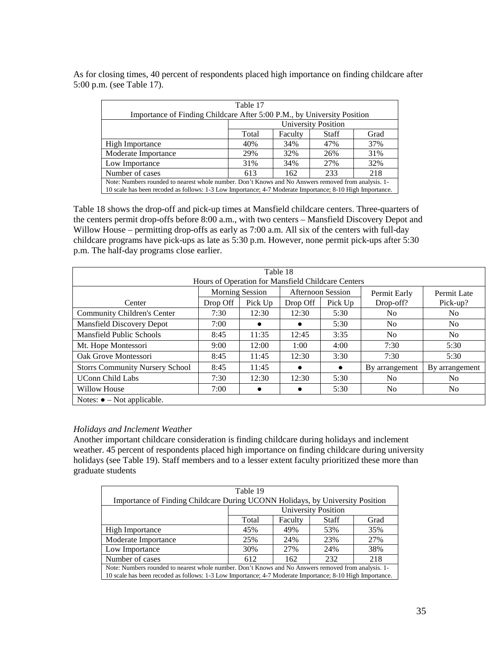As for closing times, 40 percent of respondents placed high importance on finding childcare after 5:00 p.m. (see Table 17).

| Table 17                                                                                                 |                                   |     |     |     |  |
|----------------------------------------------------------------------------------------------------------|-----------------------------------|-----|-----|-----|--|
| Importance of Finding Childcare After 5:00 P.M., by University Position                                  |                                   |     |     |     |  |
| <b>University Position</b>                                                                               |                                   |     |     |     |  |
|                                                                                                          | Faculty<br>Grad<br>Total<br>Staff |     |     |     |  |
| <b>High Importance</b>                                                                                   | 40%                               | 34% | 47% | 37% |  |
| Moderate Importance                                                                                      | 29%                               | 32% | 26% | 31% |  |
| Low Importance                                                                                           | 31%                               | 34% | 27% | 32% |  |
| 218<br>Number of cases<br>233<br>613<br>162                                                              |                                   |     |     |     |  |
| Note: Numbers rounded to nearest whole number. Don't Knows and No Answers removed from analysis. 1-      |                                   |     |     |     |  |
| 10 scale has been recoded as follows: 1-3 Low Importance; 4-7 Moderate Importance; 8-10 High Importance. |                                   |     |     |     |  |

Table 18 shows the drop-off and pick-up times at Mansfield childcare centers. Three-quarters of the centers permit drop-offs before 8:00 a.m., with two centers – Mansfield Discovery Depot and Willow House – permitting drop-offs as early as 7:00 a.m. All six of the centers with full-day childcare programs have pick-ups as late as 5:30 p.m. However, none permit pick-ups after 5:30 p.m. The half-day programs close earlier.

| Table 18<br>Hours of Operation for Mansfield Childcare Centers |          |                        |          |                          |                |                |
|----------------------------------------------------------------|----------|------------------------|----------|--------------------------|----------------|----------------|
|                                                                |          | <b>Morning Session</b> |          | <b>Afternoon Session</b> | Permit Early   | Permit Late    |
| Center                                                         | Drop Off | Pick Up                | Drop Off | Pick Up                  | Drop-off?      | Pick-up?       |
| <b>Community Children's Center</b>                             | 7:30     | 12:30                  | 12:30    | 5:30                     | N <sub>0</sub> | N <sub>0</sub> |
| <b>Mansfield Discovery Depot</b>                               | 7:00     | $\bullet$              |          | 5:30                     | N <sub>o</sub> | N <sub>0</sub> |
| Mansfield Public Schools                                       | 8:45     | 11:35                  | 12:45    | 3:35                     | N <sub>o</sub> | N <sub>o</sub> |
| Mt. Hope Montessori                                            | 9:00     | 12:00                  | 1:00     | 4:00                     | 7:30           | 5:30           |
| Oak Grove Montessori                                           | 8:45     | 11:45                  | 12:30    | 3:30                     | 7:30           | 5:30           |
| <b>Storrs Community Nursery School</b>                         | 8:45     | 11:45                  |          | $\bullet$                | By arrangement | By arrangement |
| <b>UConn Child Labs</b>                                        | 7:30     | 12:30                  | 12:30    | 5:30                     | N <sub>o</sub> | No.            |
| Willow House                                                   | 7:00     |                        |          | 5:30                     | N <sub>0</sub> | No.            |
| Notes: $\bullet$ – Not applicable.                             |          |                        |          |                          |                |                |

#### *Holidays and Inclement Weather*

Another important childcare consideration is finding childcare during holidays and inclement weather. 45 percent of respondents placed high importance on finding childcare during university holidays (see Table 19). Staff members and to a lesser extent faculty prioritized these more than graduate students

| Table 19                                                                                                 |                                          |     |     |     |  |
|----------------------------------------------------------------------------------------------------------|------------------------------------------|-----|-----|-----|--|
| Importance of Finding Childcare During UCONN Holidays, by University Position                            |                                          |     |     |     |  |
| <b>University Position</b>                                                                               |                                          |     |     |     |  |
|                                                                                                          | Total<br>Faculty<br><b>Staff</b><br>Grad |     |     |     |  |
| <b>High Importance</b>                                                                                   | 45%                                      | 49% | 53% | 35% |  |
| Moderate Importance                                                                                      | 25%                                      | 24% | 23% | 27% |  |
| Low Importance                                                                                           | 30%                                      | 27% | 24% | 38% |  |
| Number of cases<br>232<br>612<br>218<br>162                                                              |                                          |     |     |     |  |
| Note: Numbers rounded to nearest whole number. Don't Knows and No Answers removed from analysis. 1-      |                                          |     |     |     |  |
| 10 scale has been recoded as follows: 1-3 Low Importance; 4-7 Moderate Importance; 8-10 High Importance. |                                          |     |     |     |  |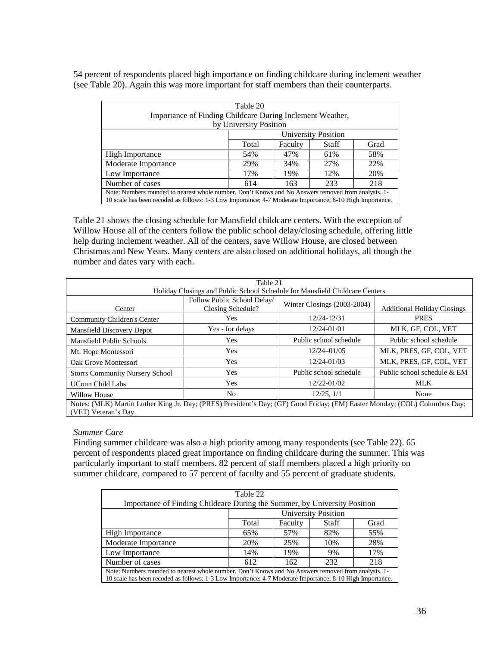54 percent of respondents placed high importance on finding childcare during inclement weather (see Table 20). Again this was more important for staff members than their counterparts.

| Table 20                                                                                                                                                                                                        |                                          |     |     |     |  |
|-----------------------------------------------------------------------------------------------------------------------------------------------------------------------------------------------------------------|------------------------------------------|-----|-----|-----|--|
| Importance of Finding Childcare During Inclement Weather,                                                                                                                                                       |                                          |     |     |     |  |
| by University Position                                                                                                                                                                                          |                                          |     |     |     |  |
| University Position                                                                                                                                                                                             |                                          |     |     |     |  |
|                                                                                                                                                                                                                 | Total<br>Faculty<br><b>Staff</b><br>Grad |     |     |     |  |
| <b>High Importance</b>                                                                                                                                                                                          | 54%                                      | 47% | 61% | 58% |  |
| Moderate Importance                                                                                                                                                                                             | 29%<br>34%<br>27%<br>22%                 |     |     |     |  |
| Low Importance                                                                                                                                                                                                  | 17%                                      | 19% | 12% | 20% |  |
| Number of cases<br>233<br>218<br>163<br>614                                                                                                                                                                     |                                          |     |     |     |  |
| Note: Numbers rounded to nearest whole number. Don't Knows and No Answers removed from analysis. 1-<br>10 scale has been recoded as follows: 1-3 Low Importance; 4-7 Moderate Importance; 8-10 High Importance. |                                          |     |     |     |  |

Table 21 shows the closing schedule for Mansfield childcare centers. With the exception of Willow House all of the centers follow the public school delay/closing schedule, offering little help during inclement weather. All of the centers, save Willow House, are closed between Christmas and New Years. Many centers are also closed on additional holidays, all though the number and dates vary with each.

| Table 21                                                                                                                   |                             |                             |                                    |  |  |
|----------------------------------------------------------------------------------------------------------------------------|-----------------------------|-----------------------------|------------------------------------|--|--|
|                                                                                                                            |                             |                             |                                    |  |  |
| Holiday Closings and Public School Schedule for Mansfield Childcare Centers                                                |                             |                             |                                    |  |  |
|                                                                                                                            | Follow Public School Delay/ |                             |                                    |  |  |
| Center                                                                                                                     | Closing Schedule?           | Winter Closings (2003-2004) | <b>Additional Holiday Closings</b> |  |  |
| Community Children's Center                                                                                                | Yes                         | 12/24-12/31                 | <b>PRES</b>                        |  |  |
| Mansfield Discovery Depot                                                                                                  | Yes - for delays            | 12/24-01/01                 | MLK, GF, COL, VET                  |  |  |
| <b>Mansfield Public Schools</b>                                                                                            | <b>Yes</b>                  | Public school schedule      | Public school schedule             |  |  |
| Mt. Hope Montessori                                                                                                        | <b>Yes</b>                  | $12/24 - 01/05$             | MLK, PRES, GF, COL, VET            |  |  |
| Oak Grove Montessori                                                                                                       | Yes                         | 12/24-01/03                 | MLK, PRES, GF, COL, VET            |  |  |
| <b>Storrs Community Nursery School</b>                                                                                     | Yes                         | Public school schedule      | Public school schedule & EM        |  |  |
| <b>UConn Child Labs</b>                                                                                                    | Yes                         | 12/22-01/02                 | <b>MLK</b>                         |  |  |
| Willow House                                                                                                               | No                          | $12/25$ , $1/1$             | None                               |  |  |
| Notes: (MLK) Martin Luther King Jr. Day; (PRES) President's Day; (GF) Good Friday; (EM) Easter Monday; (COL) Columbus Day; |                             |                             |                                    |  |  |
| (VET) Veteran's Day.                                                                                                       |                             |                             |                                    |  |  |

#### *Summer Care*

Finding summer childcare was also a high priority among many respondents (see Table 22). 65 percent of respondents placed great importance on finding childcare during the summer. This was particularly important to staff members. 82 percent of staff members placed a high priority on summer childcare, compared to 57 percent of faculty and 55 percent of graduate students.

| Table 22                                                                                                 |                                          |     |     |     |  |
|----------------------------------------------------------------------------------------------------------|------------------------------------------|-----|-----|-----|--|
| Importance of Finding Childcare During the Summer, by University Position                                |                                          |     |     |     |  |
| <b>University Position</b>                                                                               |                                          |     |     |     |  |
|                                                                                                          | Faculty<br><b>Staff</b><br>Total<br>Grad |     |     |     |  |
| High Importance                                                                                          | 65%                                      | 57% | 82% | 55% |  |
| Moderate Importance                                                                                      | 20%                                      | 25% | 10% | 28% |  |
| Low Importance                                                                                           | 14%                                      | 19% | 9%  | 17% |  |
| Number of cases<br>232<br>218<br>612<br>162                                                              |                                          |     |     |     |  |
| Note: Numbers rounded to nearest whole number. Don't Knows and No Answers removed from analysis. 1-      |                                          |     |     |     |  |
| 10 scale has been recoded as follows: 1-3 Low Importance; 4-7 Moderate Importance; 8-10 High Importance. |                                          |     |     |     |  |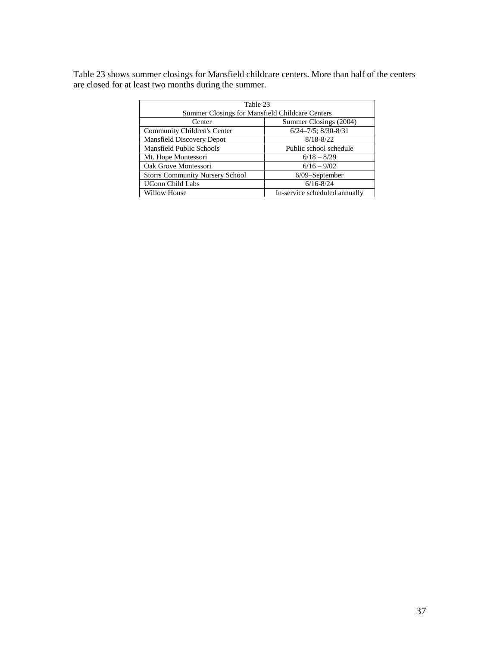Table 23 shows summer closings for Mansfield childcare centers. More than half of the centers are closed for at least two months during the summer.

| Table 23                                               |                               |  |  |  |
|--------------------------------------------------------|-------------------------------|--|--|--|
| <b>Summer Closings for Mansfield Childcare Centers</b> |                               |  |  |  |
| Center                                                 | Summer Closings (2004)        |  |  |  |
| Community Children's Center                            | $6/24 - 7/5$ ; $8/30 - 8/31$  |  |  |  |
| Mansfield Discovery Depot                              | $8/18 - 8/22$                 |  |  |  |
| Mansfield Public Schools                               | Public school schedule        |  |  |  |
| Mt. Hope Montessori                                    | $6/18 - 8/29$                 |  |  |  |
| Oak Grove Montessori                                   | $6/16 - 9/02$                 |  |  |  |
| <b>Storrs Community Nursery School</b>                 | $6/09$ -September             |  |  |  |
| <b>UConn Child Labs</b>                                | $6/16 - 8/24$                 |  |  |  |
| Willow House                                           | In-service scheduled annually |  |  |  |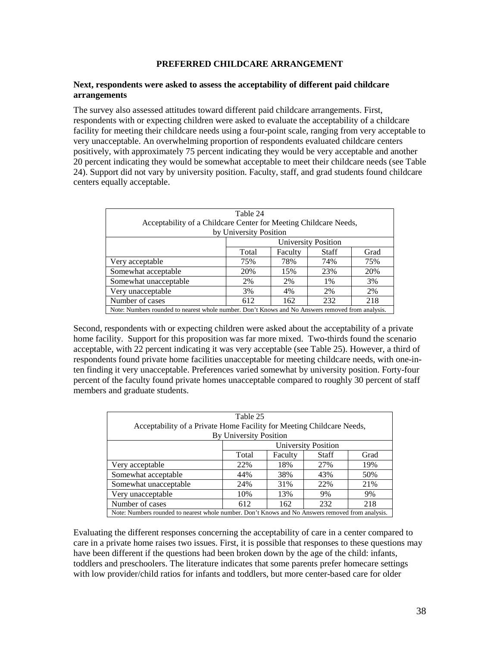#### **PREFERRED CHILDCARE ARRANGEMENT**

#### **Next, respondents were asked to assess the acceptability of different paid childcare arrangements**

The survey also assessed attitudes toward different paid childcare arrangements. First, respondents with or expecting children were asked to evaluate the acceptability of a childcare facility for meeting their childcare needs using a four-point scale, ranging from very acceptable to very unacceptable. An overwhelming proportion of respondents evaluated childcare centers positively, with approximately 75 percent indicating they would be very acceptable and another 20 percent indicating they would be somewhat acceptable to meet their childcare needs (see Table 24). Support did not vary by university position. Faculty, staff, and grad students found childcare centers equally acceptable.

| Table 24                                                                                         |                            |         |              |      |  |  |  |  |
|--------------------------------------------------------------------------------------------------|----------------------------|---------|--------------|------|--|--|--|--|
| Acceptability of a Childcare Center for Meeting Childcare Needs,                                 |                            |         |              |      |  |  |  |  |
| by University Position                                                                           |                            |         |              |      |  |  |  |  |
|                                                                                                  | <b>University Position</b> |         |              |      |  |  |  |  |
|                                                                                                  | Total                      | Faculty | <b>Staff</b> | Grad |  |  |  |  |
| Very acceptable                                                                                  | 75%                        | 78%     | 74%          | 75%  |  |  |  |  |
| Somewhat acceptable                                                                              | 20%                        | 15%     | 23%          | 20%  |  |  |  |  |
| Somewhat unacceptable                                                                            | 2%                         | 2%      | 1%           | 3%   |  |  |  |  |
| Very unacceptable                                                                                | 3%                         | 4%      | 2%           | 2%   |  |  |  |  |
| Number of cases                                                                                  | 612                        | 162     | 232          | 218  |  |  |  |  |
| Note: Numbers rounded to nearest whole number. Don't Knows and No Answers removed from analysis. |                            |         |              |      |  |  |  |  |

Second, respondents with or expecting children were asked about the acceptability of a private home facility. Support for this proposition was far more mixed. Two-thirds found the scenario acceptable, with 22 percent indicating it was very acceptable (see Table 25). However, a third of respondents found private home facilities unacceptable for meeting childcare needs, with one-inten finding it very unacceptable. Preferences varied somewhat by university position. Forty-four percent of the faculty found private homes unacceptable compared to roughly 30 percent of staff members and graduate students.

| Table 25                                                                                        |                            |         |              |      |  |  |  |  |  |
|-------------------------------------------------------------------------------------------------|----------------------------|---------|--------------|------|--|--|--|--|--|
| Acceptability of a Private Home Facility for Meeting Childcare Needs,                           |                            |         |              |      |  |  |  |  |  |
| <b>By University Position</b>                                                                   |                            |         |              |      |  |  |  |  |  |
|                                                                                                 | <b>University Position</b> |         |              |      |  |  |  |  |  |
|                                                                                                 | Total                      | Faculty | <b>Staff</b> | Grad |  |  |  |  |  |
| Very acceptable                                                                                 | 22%                        | 18%     | 27%          | 19%  |  |  |  |  |  |
| Somewhat acceptable                                                                             | 44%                        | 38%     | 43%          | 50%  |  |  |  |  |  |
| Somewhat unacceptable                                                                           | 24%                        | 31%     | 22%          | 21%  |  |  |  |  |  |
| Very unacceptable                                                                               | 10%                        | 13%     | 9%           | 9%   |  |  |  |  |  |
| Number of cases                                                                                 | 612                        | 162     | 232          | 218  |  |  |  |  |  |
| Moto: Numbers rounded to negree whole number. Don't Knows and No. Answers removed from analysis |                            |         |              |      |  |  |  |  |  |

Note: Numbers rounded to nearest whole number. Don't Knows and No Answers removed from analysis.

Evaluating the different responses concerning the acceptability of care in a center compared to care in a private home raises two issues. First, it is possible that responses to these questions may have been different if the questions had been broken down by the age of the child: infants, toddlers and preschoolers. The literature indicates that some parents prefer homecare settings with low provider/child ratios for infants and toddlers, but more center-based care for older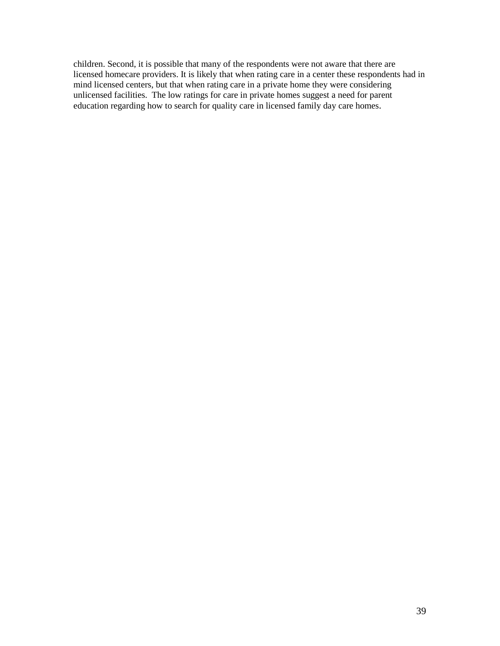children. Second, it is possible that many of the respondents were not aware that there are licensed homecare providers. It is likely that when rating care in a center these respondents had in mind licensed centers, but that when rating care in a private home they were considering unlicensed facilities. The low ratings for care in private homes suggest a need for parent education regarding how to search for quality care in licensed family day care homes.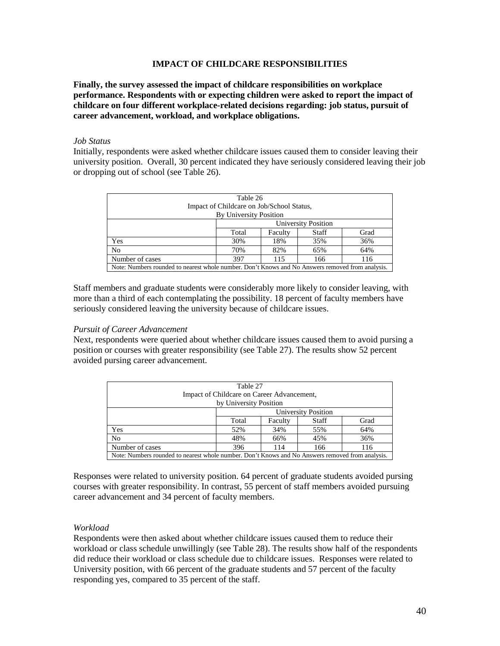#### **IMPACT OF CHILDCARE RESPONSIBILITIES**

**Finally, the survey assessed the impact of childcare responsibilities on workplace performance. Respondents with or expecting children were asked to report the impact of childcare on four different workplace-related decisions regarding: job status, pursuit of career advancement, workload, and workplace obligations.** 

#### *Job Status*

Initially, respondents were asked whether childcare issues caused them to consider leaving their university position. Overall, 30 percent indicated they have seriously considered leaving their job or dropping out of school (see Table 26).

| Table 26                                                                                         |                            |         |              |      |  |  |  |  |
|--------------------------------------------------------------------------------------------------|----------------------------|---------|--------------|------|--|--|--|--|
| Impact of Childcare on Job/School Status,                                                        |                            |         |              |      |  |  |  |  |
| <b>By University Position</b>                                                                    |                            |         |              |      |  |  |  |  |
|                                                                                                  | <b>University Position</b> |         |              |      |  |  |  |  |
|                                                                                                  | Total                      | Faculty | <b>Staff</b> | Grad |  |  |  |  |
| Yes                                                                                              | 30%                        | 18%     | 35%          | 36%  |  |  |  |  |
| N <sub>o</sub>                                                                                   | 70%                        | 82%     | 65%          | 64%  |  |  |  |  |
| Number of cases                                                                                  | 397                        | 115     | 166          | 116  |  |  |  |  |
| Note: Numbers rounded to nearest whole number. Don't Knows and No Answers removed from analysis. |                            |         |              |      |  |  |  |  |

Staff members and graduate students were considerably more likely to consider leaving, with more than a third of each contemplating the possibility. 18 percent of faculty members have seriously considered leaving the university because of childcare issues.

#### *Pursuit of Career Advancement*

Next, respondents were queried about whether childcare issues caused them to avoid pursing a position or courses with greater responsibility (see Table 27). The results show 52 percent avoided pursing career advancement.

| Table 27<br>Impact of Childcare on Career Advancement,<br>by University Position                 |                            |         |       |      |  |  |  |
|--------------------------------------------------------------------------------------------------|----------------------------|---------|-------|------|--|--|--|
|                                                                                                  | <b>University Position</b> |         |       |      |  |  |  |
|                                                                                                  | Total                      | Faculty | Staff | Grad |  |  |  |
| Yes                                                                                              | 52%                        | 34%     | 55%   | 64%  |  |  |  |
| N <sub>o</sub>                                                                                   | 48%                        | 66%     | 45%   | 36%  |  |  |  |
| Number of cases                                                                                  | 396                        | 114     | 166   | 116  |  |  |  |
| Note: Numbers rounded to nearest whole number. Don't Knows and No Answers removed from analysis. |                            |         |       |      |  |  |  |

Responses were related to university position. 64 percent of graduate students avoided pursing courses with greater responsibility. In contrast, 55 percent of staff members avoided pursuing career advancement and 34 percent of faculty members.

#### *Workload*

Respondents were then asked about whether childcare issues caused them to reduce their workload or class schedule unwillingly (see Table 28). The results show half of the respondents did reduce their workload or class schedule due to childcare issues. Responses were related to University position, with 66 percent of the graduate students and 57 percent of the faculty responding yes, compared to 35 percent of the staff.